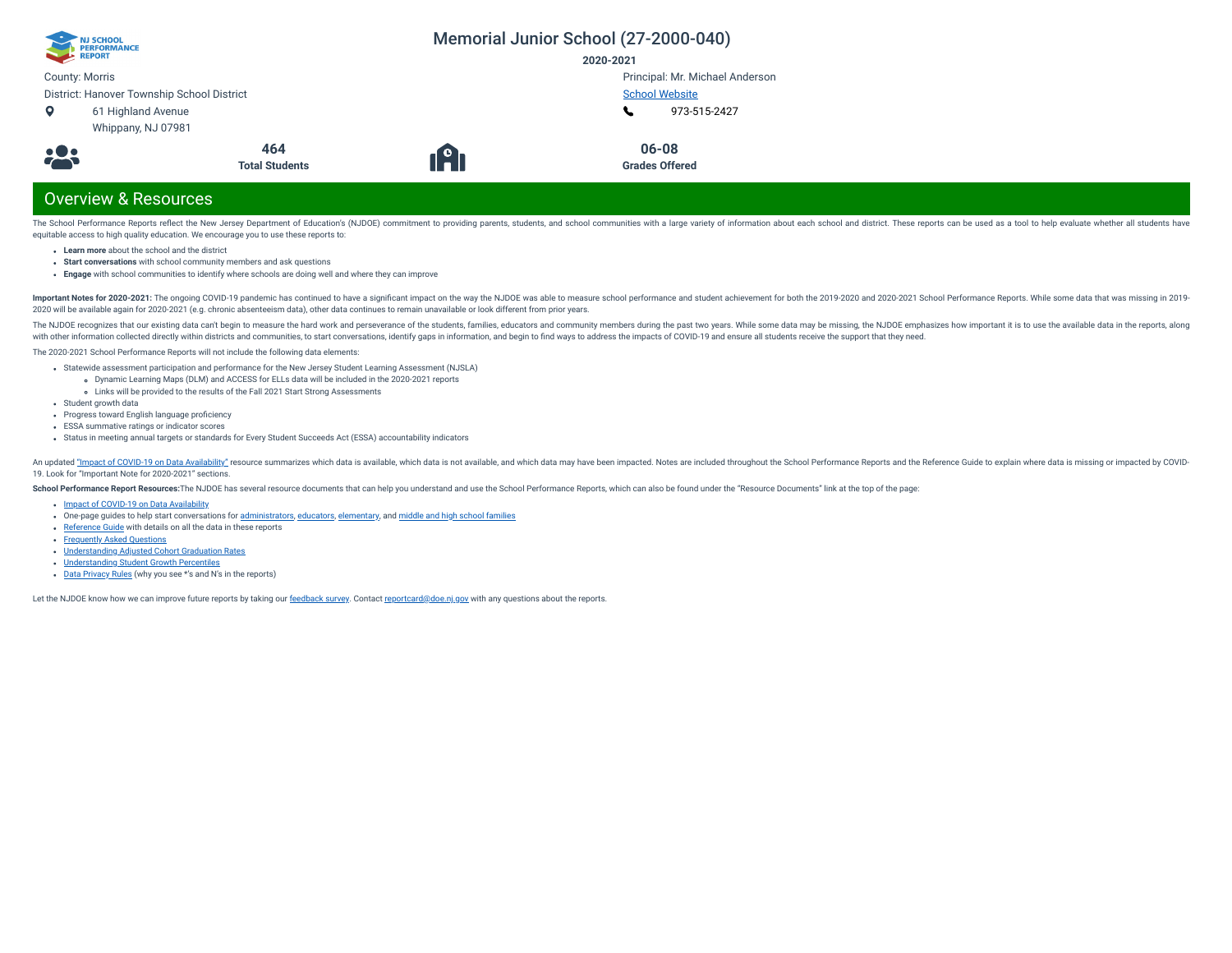| NJ SCHOOL<br>PERFORMANCE<br>REPORT         |                       |     | Memorial Junior School (27-2000-040) |
|--------------------------------------------|-----------------------|-----|--------------------------------------|
|                                            |                       |     | 2020-2021                            |
| <b>County: Morris</b>                      |                       |     | Principal: Mr. Michael Anderson      |
| District: Hanover Township School District |                       |     | <b>School Website</b>                |
| $\bullet$<br>61 Highland Avenue            |                       |     | 973-515-2427                         |
| Whippany, NJ 07981                         |                       |     |                                      |
|                                            | 464                   |     | 06-08                                |
| <b>.23</b>                                 | <b>Total Students</b> | 19) | <b>Grades Offered</b>                |
|                                            |                       |     |                                      |
| <b>Overview &amp; Resources</b>            |                       |     |                                      |

The School Performance Reports reflect the New Jersey Department of Education's (NJDOE) commitment to providing parents, students, and school communities with a large variety of information about each school and district. equitable access to high quality education. We encourage you to use these reports to:

- **Learn more** about the school and the district
- **Start conversations** with school community members and ask questions
- **Engage** with school communities to identify where schools are doing well and where they can improve

Important Notes for 2020-2021: The ongoing COVID-19 pandemic has continued to have a significant impact on the way the NJDOE was able to measure school performance and student achievement for both the 2019-2020 and 2020-20 2020 will be available again for 2020-2021 (e.g. chronic absenteeism data), other data continues to remain unavailable or look different from prior years.

The NJDOE recognizes that our existing data can't begin to measure the hard work and perseverance of the students, families, educators and community members during the past two years. While some data may be missing, the NJ with other information collected directly within districts and communities, to start conversations, identify gaps in information, and begin to find ways to address the impacts of COVID-19 and ensure all students receive th

The 2020-2021 School Performance Reports will not include the following data elements:

- Statewide assessment participation and performance for the New Jersey Student Learning Assessment (NJSLA)
	- Dynamic Learning Maps (DLM) and ACCESS for ELLs data will be included in the 2020-2021 reports
- Links will be provided to the results of the Fall 2021 Start Strong Assessments
- Student growth data
- Progress toward English language proficiency
- ESSA summative ratings or indicator scores
- Status in meeting annual targets or standards for Every Student Succeeds Act (ESSA) accountability indicators

An updated "Impact of [COVID-19 on](https://www.nj.gov/education/schoolperformance/resources/docs/2020-21_SchoolPerformanceReports_ImpactOf_COVID-19_on_DataAvailability.pdf) Data Availability" resource summarizes which data is available, which data is available, which data is not available, and which data is may have been impacted. Notes are included throughou 19. Look for "Important Note for 2020-2021" sections.

School Performance Report Resources: The NJDOE has several resource documents that can help you understand and use the School Performance Reports, which can also be found under the "Resource Documents" link at the top of t

- Impact of [COVID-19 on](https://www.nj.gov/education/schoolperformance/resources/docs/2020-21_SchoolPerformanceReports_ImpactOf_COVID-19_on_DataAvailability.pdf) Data Availability
- one-page guides to help start conversations for [administrators,](https://www.nj.gov/education/schoolperformance/resources/docs/2020-21_SchoolPerformanceReports_GuideForAdministrators.pdf) [educators](https://www.nj.gov/education/schoolperformance/resources/docs/2020-21_SchoolPerformanceReports_GuideForEducators.pdf), [elementary,](https://www.nj.gov/education/schoolperformance/resources/docs/2020-21_SchoolPerformanceReports_GuideForElementaryFamilies.pdf) and middle and high school [families](https://www.nj.gov/education/schoolperformance/resources/docs/2020-21_SchoolPerformanceReports_GuideForMiddle_and_HighSchoolFamilies.pdf)
- [Reference](https://navilp7rg08njprsharedst.blob.core.windows.net/perf-reports-ct/Documents/2021/ReferenceGuide.pdf) Guide with details on all the data in these reports
- **[Frequently](https://navilp7rg08njprsharedst.blob.core.windows.net/perf-reports-ct/Documents/2021/FAQs.pdf) Asked Questions**
- [Understanding](https://www.nj.gov/education/schoolperformance/grad/docs/Understanding%20Adjusted%20Cohort%20Graduation%20Rates.pdf) Adjusted Cohort Graduation Rates
- [Understanding](https://www.nj.gov/education/schoolperformance/growth/Understanding%20Median%20Student%20Growth%20Percentiles.pdf) Student Growth Percentiles
- Data [Privacy](https://navilp7rg08njprsharedst.blob.core.windows.net/perf-reports-ct/Documents/2021//DataPrivacyRules.pdf) Rules (why you see \*'s and N's in the reports)

Let the NJDOE know how we can improve future reports by taking our [feedback](https://www.surveymonkey.com/r/2020-21SPR) survey. Contact [reportcard@doe.nj.gov](mailto:reportcard@doe.nj.gov) with any questions about the reports.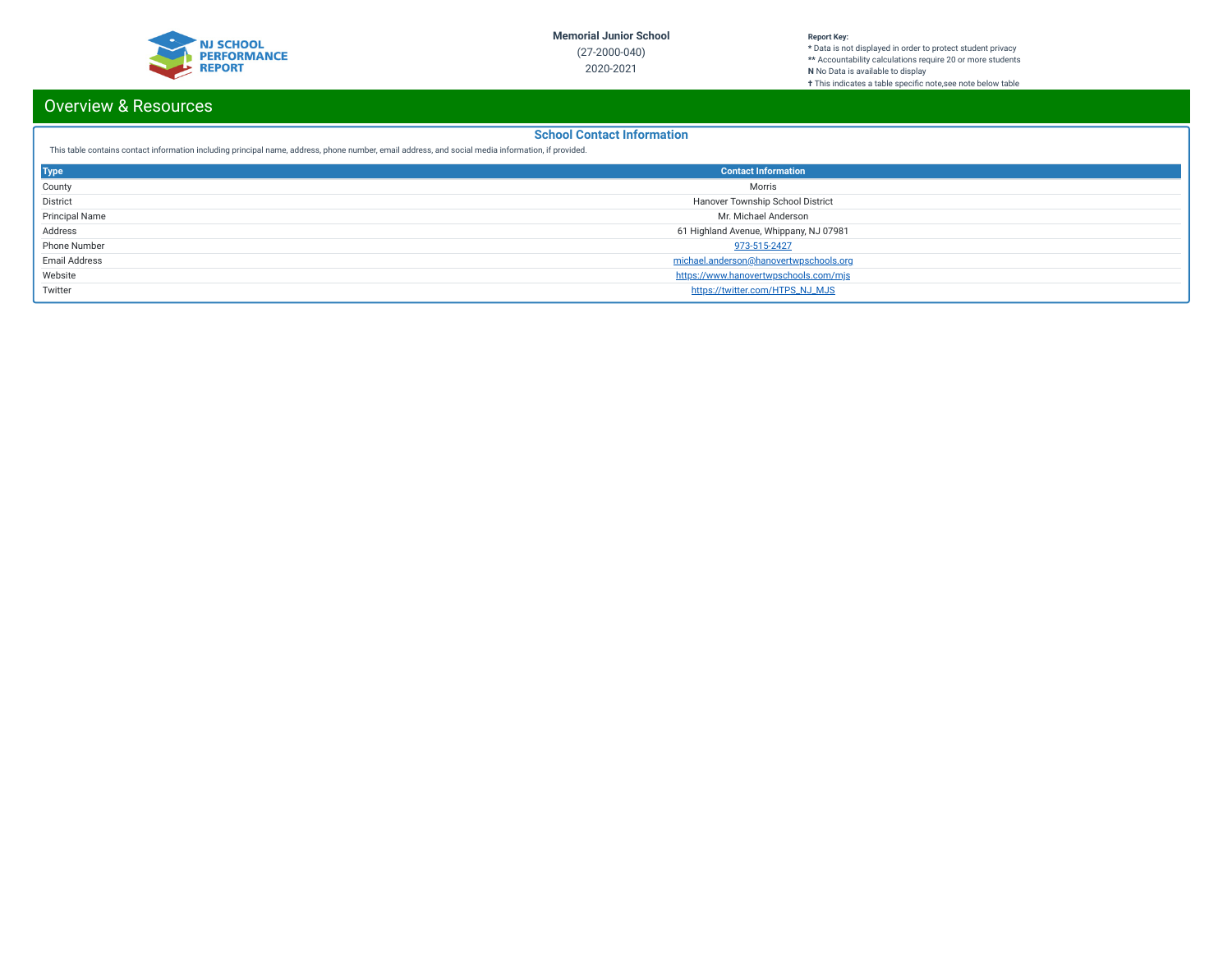

#### **Report Key:**

**\*** Data is not displayed in order to protect student privacy **\*\*** Accountability calculations require 20 or more students **N** No Data is available to display **†** This indicates a table specic note,see note below table

# Overview & Resources

### **School Contact Information**

This table contains contact information including principal name, address, phone number, email address, and social media information, if provided.

| <b>Type</b>           | <b>Contact Information</b>             |
|-----------------------|----------------------------------------|
| County                | Morris                                 |
| District              | Hanover Township School District       |
| <b>Principal Name</b> | Mr. Michael Anderson                   |
| Address               | 61 Highland Avenue, Whippany, NJ 07981 |
| Phone Number          | 973-515-2427                           |
| <b>Email Address</b>  | michael.anderson@hanovertwpschools.org |
| Website               | https://www.hanovertwpschools.com/mjs  |
| Twitter               | https://twitter.com/HTPS_NJ_MJS        |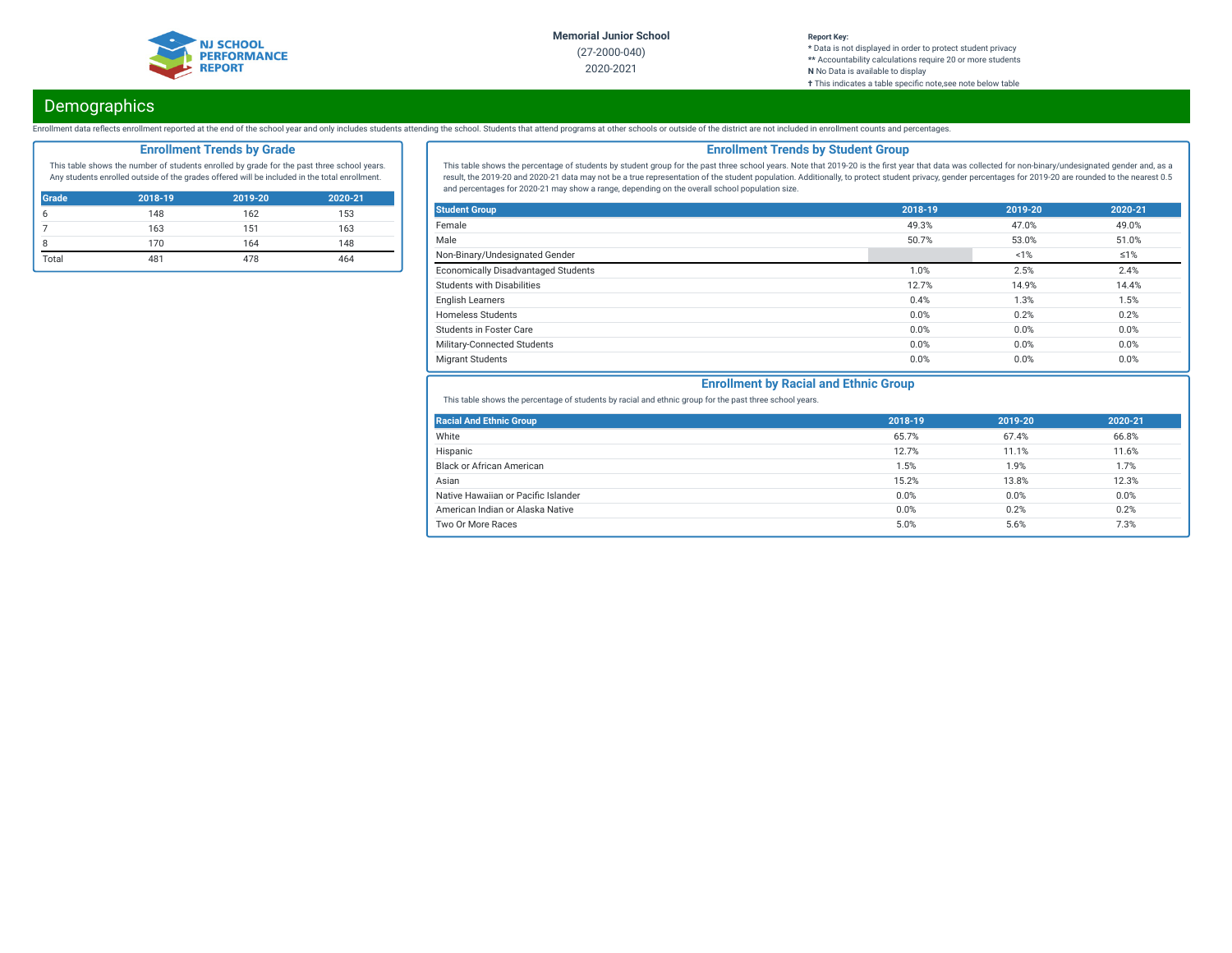

#### **Report Key: \*** Data is not displayed in order to protect student privacy **\*\*** Accountability calculations require 20 or more students **N** No Data is available to display **†** This indicates a table specific note, see note below table

# **Demographics**

Enrollment data reflects enrollment reported at the end of the school year and only includes students attending the school. Students that attend programs at other schools or outside of the district are not included in enro

## **Enrollment Trends by Grade**

This table shows the number of students enrolled by grade for the past three school years. Any students enrolled outside of the grades offered will be included in the total enrollment.

| <b>Grade</b> | 2018-19 | 2019-20 | 2020-21 |
|--------------|---------|---------|---------|
|              | 148     | 162     | 153     |
|              | 163     | 151     | 163     |
|              | 170     | 164     | 148     |
| Total        | 481     | 478     | 464     |

## **Enrollment Trends by Student Group**

This table shows the percentage of students by student group for the past three school years. Note that 2019-20 is the first year that data was collected for non-binary/undesignated gender and, as a result, the 2019-20 and 2020-21 data may not be a true representation of the student population. Additionally, to protect student privacy, gender percentages for 2019-20 are rounded to the nearest 0.5 and percentages for 2020-21 may show a range, depending on the overall school population size.

| <b>Student Group</b>                       | 2018-19 | 2019-20 | 2020-21    |
|--------------------------------------------|---------|---------|------------|
| Female                                     | 49.3%   | 47.0%   | 49.0%      |
| Male                                       | 50.7%   | 53.0%   | 51.0%      |
| Non-Binary/Undesignated Gender             |         | 1%      | $\leq 1\%$ |
| <b>Economically Disadvantaged Students</b> | 1.0%    | 2.5%    | 2.4%       |
| Students with Disabilities                 | 12.7%   | 14.9%   | 14.4%      |
| <b>English Learners</b>                    | 0.4%    | 1.3%    | 1.5%       |
| <b>Homeless Students</b>                   | 0.0%    | 0.2%    | 0.2%       |
| <b>Students in Foster Care</b>             | 0.0%    | 0.0%    | 0.0%       |
| Military-Connected Students                | 0.0%    | 0.0%    | 0.0%       |
| <b>Migrant Students</b>                    | 0.0%    | 0.0%    | 0.0%       |

## **Enrollment by Racial and Ethnic Group**

This table shows the percentage of students by racial and ethnic group for the past three school years.

| <b>Racial And Ethnic Group</b>      | 2018-19 | 2019-20 | 2020-21 |
|-------------------------------------|---------|---------|---------|
| White                               | 65.7%   | 67.4%   | 66.8%   |
| Hispanic                            | 12.7%   | 11.1%   | 11.6%   |
| Black or African American           | 1.5%    | 1.9%    | 1.7%    |
| Asian                               | 15.2%   | 13.8%   | 12.3%   |
| Native Hawaiian or Pacific Islander | 0.0%    | 0.0%    | 0.0%    |
| American Indian or Alaska Native    | 0.0%    | 0.2%    | 0.2%    |
| Two Or More Races                   | 5.0%    | 5.6%    | 7.3%    |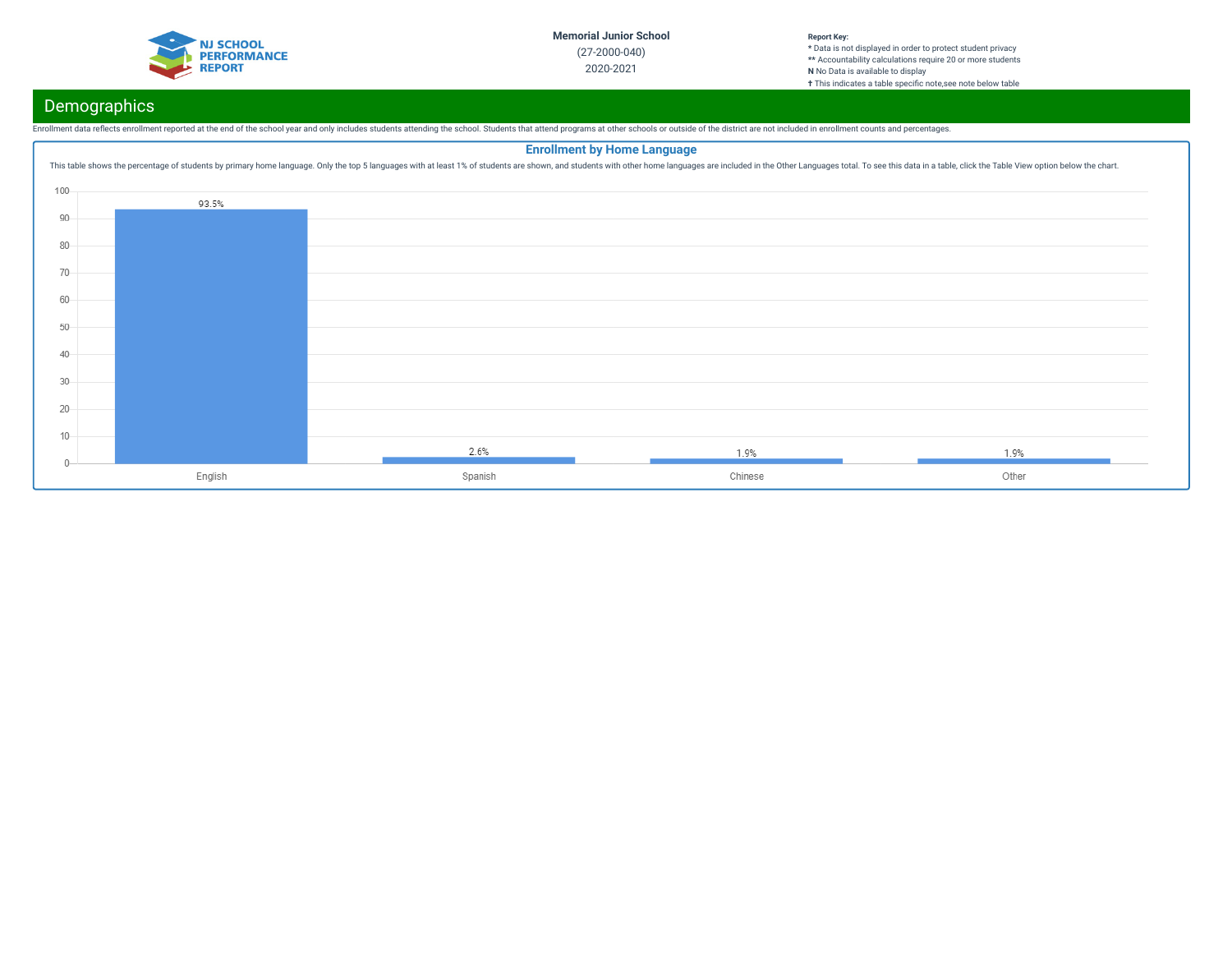

# **Demographics**

Enrollment data reflects enrollment reported at the end of the school year and only includes students attending the school. Students that attend programs at other schools or outside of the district are not included in enro

|        | <b>Enrollment by Home Language</b><br>This table shows the percentage of students by primary home language. Only the top 5 languages with at least 1% of students are shown, and students with other home languages are included in the Other Languages total. To se |         |         |       |  |
|--------|----------------------------------------------------------------------------------------------------------------------------------------------------------------------------------------------------------------------------------------------------------------------|---------|---------|-------|--|
| 100    |                                                                                                                                                                                                                                                                      |         |         |       |  |
|        | 93.5%                                                                                                                                                                                                                                                                |         |         |       |  |
| 90     |                                                                                                                                                                                                                                                                      |         |         |       |  |
| 80     |                                                                                                                                                                                                                                                                      |         |         |       |  |
| $70 -$ |                                                                                                                                                                                                                                                                      |         |         |       |  |
| 60     |                                                                                                                                                                                                                                                                      |         |         |       |  |
|        |                                                                                                                                                                                                                                                                      |         |         |       |  |
| 50     |                                                                                                                                                                                                                                                                      |         |         |       |  |
| $40 -$ |                                                                                                                                                                                                                                                                      |         |         |       |  |
| $30 -$ |                                                                                                                                                                                                                                                                      |         |         |       |  |
| $20 -$ |                                                                                                                                                                                                                                                                      |         |         |       |  |
| $10 -$ |                                                                                                                                                                                                                                                                      |         |         |       |  |
|        |                                                                                                                                                                                                                                                                      | 2.6%    | 1.9%    | 1.9%  |  |
|        | English                                                                                                                                                                                                                                                              | Spanish | Chinese | Other |  |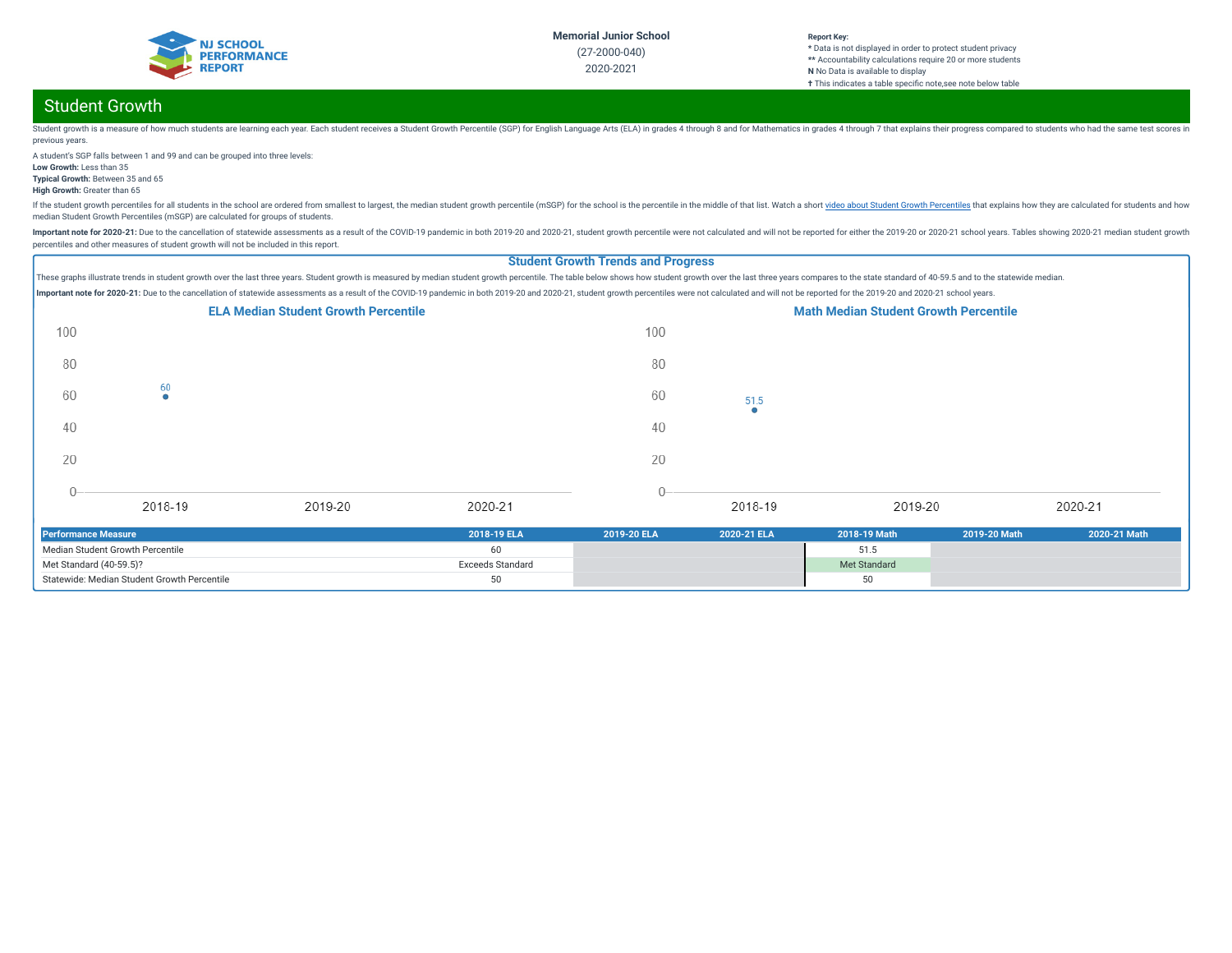

# Student Growth

Student growth is a measure of how much students are learning each year. Each student receives a Student crowth Percentile (SGP) for English Language Arts (ELA) in grades 4 through 8 and for Mathematics in grades 4 through previous years.

A student's SGP falls between 1 and 99 and can be grouped into three levels: **Low Growth:** Less than 35

**Typical Growth:** Between 35 and 65

**High Growth:** Greater than 65

If the student growth percentiles for all students in the school are ordered from smallest to largest, the median student growth percentile (mSGP) for the school is the percentile in the middle of that list. Watch a short median Student Growth Percentiles (mSGP) are calculated for groups of students.

Important note for 2020-21: Due to the cancellation of statewide assessments as a result of the COVID-19 pandemic in both 2019-20 and 2020-21, student growth percentile were not calculated and will not be reported for eith percentiles and other measures of student growth will not be included in this report.

### **Student Growth Trends and Progress**

These graphs illustrate trends in student growth over the last three years. Student growth is measured by median student growth percentile. The table below shows how student growth over the last three years compares to the Important note for 2020-21: Due to the cancellation of statewide assessments as a result of the COVID-19 pandemic in both 2019-20 and 2020-21, student growth percentiles were not calculated and will not be reported for the



| <b>Performance Measure</b>                  | 2018-19 ELA             | 2019-20 ELA | 2020-21 ELA | 2018-19 Math | 2019-20 Math | 2020-21 Math |
|---------------------------------------------|-------------------------|-------------|-------------|--------------|--------------|--------------|
| Median Student Growth Percentile            |                         |             |             | 51.5         |              |              |
| Met Standard $(40-59.5)$ ?                  | <b>Exceeds Standard</b> |             |             | Met Standard |              |              |
| Statewide: Median Student Growth Percentile |                         |             |             |              |              |              |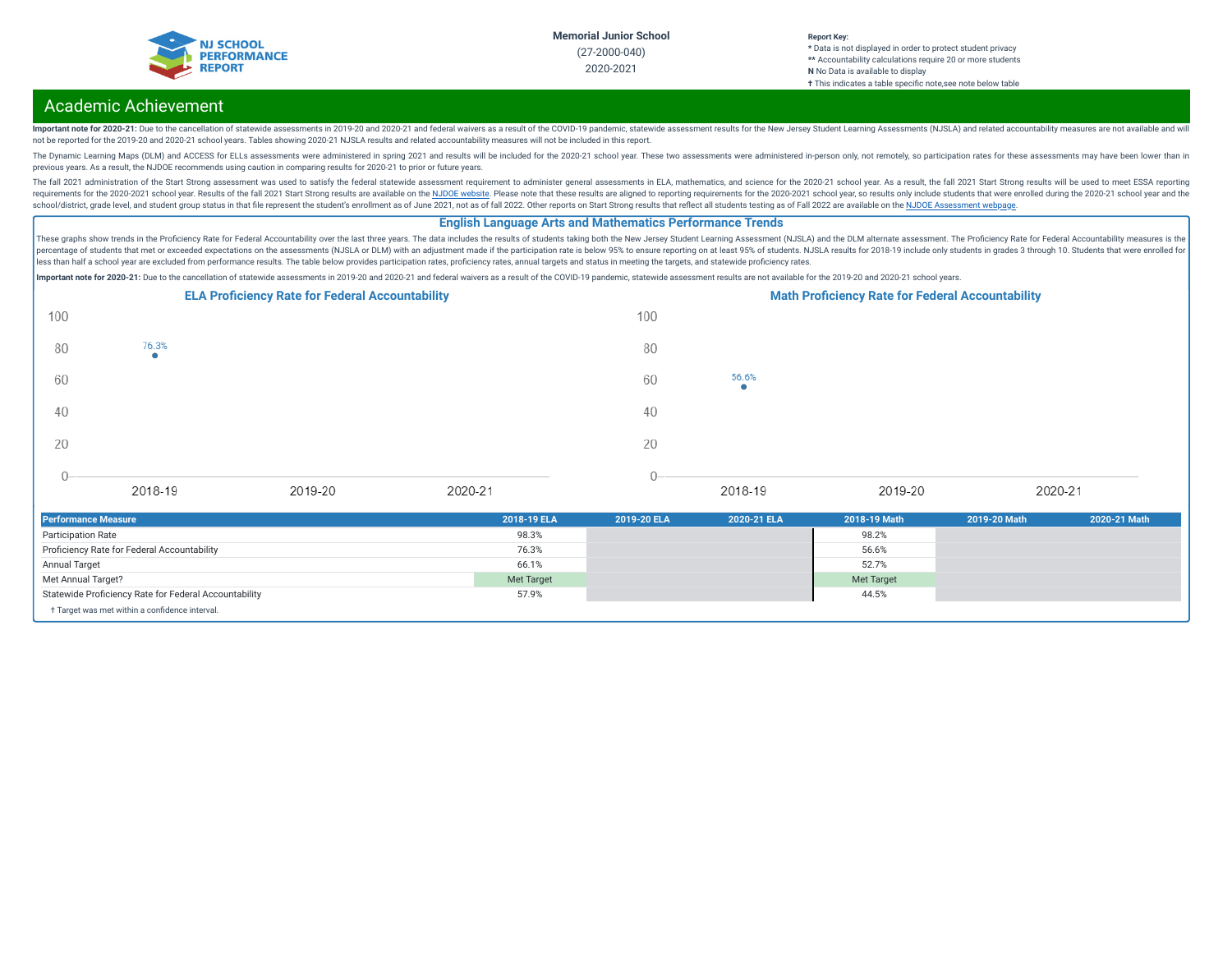

## Academic Achievement

Important note for 2020-21: Due to the cancellation of statewide assessments in 2019-20 and 2020-21 and federal waivers as a result of the COVID-19 pandemic, statewide assessment results for the New Jersey Student Learning not be reported for the 2019-20 and 2020-21 school years. Tables showing 2020-21 NJSLA results and related accountability measures will not be included in this report.

The Dynamic Learning Maps (DLM) and ACCESS for ELLs assessments were administered in spring 2021 and results will be included for the 2020-21 school year. These two assessments were administered in-person only, not remotel previous years. As a result, the NJDOE recommends using caution in comparing results for 2020-21 to prior or future years.

The fall 2021 administration of the Start Strong assessment was used to satisfy the federal statewide assessment requirement to administer general assessments in ELA, mathematics, and science for the 2020-21 school year. A requirements for the 2020-2021 school year. Results of the fall 2021 Start Strong results are available on the NJDOE [website](https://www.state.nj.us/education/title1/accountability/progress/21/). Please note that these results are aligned to reporting requirements for the 2020-2021 school ye school/district, grade level, and student group status in that file represent the student's enrollment as of June 2021, not as of fall 2022. Other reports on Start Strong results that reflect all students testing as of Fal

### **English Language Arts and Mathematics Performance Trends**

These graphs show trends in the Proficiency Rate for Federal Accountability over the last three years. The data includes the results of students taking both the New Jersey Student Learning Assessment (NJSLA) and the DLM al percentage of students that met or exceeded expectations on the assessments (NJSLA or DLM) with an adjustment made if the participation rate is below 95% to ensure reporting on at least 95% of students. NJSLA results for 2 .<br>less than half a school year are excluded from performance results. The table below provides participation rates, proficiency rates, annual targets and status in meeting the targets, and statewide proficiency rates.

Important note for 2020-21: Due to the cancellation of statewide assessments in 2019-20 and 2020-21 and federal waivers as a result of the COVID-19 pandemic, statewide assessment results are not available for the 2019-20 a

|      |                    | <b>ELA Proficiency Rate for Federal Accountability</b> |         |      |            | <b>Math Proficiency Rate for Federal Accountability</b> |         |  |
|------|--------------------|--------------------------------------------------------|---------|------|------------|---------------------------------------------------------|---------|--|
| 100  |                    |                                                        |         | 100  |            |                                                         |         |  |
| 80   | 76.3%<br>$\bullet$ |                                                        |         | 80   |            |                                                         |         |  |
| 60   |                    |                                                        |         | 60   | 56.6%<br>۰ |                                                         |         |  |
| 40   |                    |                                                        |         | 40   |            |                                                         |         |  |
| 20   |                    |                                                        |         | 20   |            |                                                         |         |  |
| $0-$ |                    |                                                        |         | $0-$ |            |                                                         |         |  |
|      | 2018-19            | 2019-20                                                | 2020-21 |      | 2018-19    | 2019-20                                                 | 2020-21 |  |

| <b>Performance Measure</b>                            | 2018-19 ELA | 2019-20 ELA | 2020-21 ELA | 2018-19 Math      | 2019-20 Math | 2020-21 Math |
|-------------------------------------------------------|-------------|-------------|-------------|-------------------|--------------|--------------|
| <b>Participation Rate</b>                             | 98.3%       |             |             | 98.2%             |              |              |
| Proficiency Rate for Federal Accountability           | 76.3%       |             |             | 56.6%             |              |              |
| Annual Target                                         | 66.1%       |             |             | 52.7%             |              |              |
| Met Annual Target?                                    | Met Target  |             |             | <b>Met Target</b> |              |              |
| Statewide Proficiency Rate for Federal Accountability | 57.9%       |             |             | 44.5%             |              |              |
| + Target was met within a confidence interval.        |             |             |             |                   |              |              |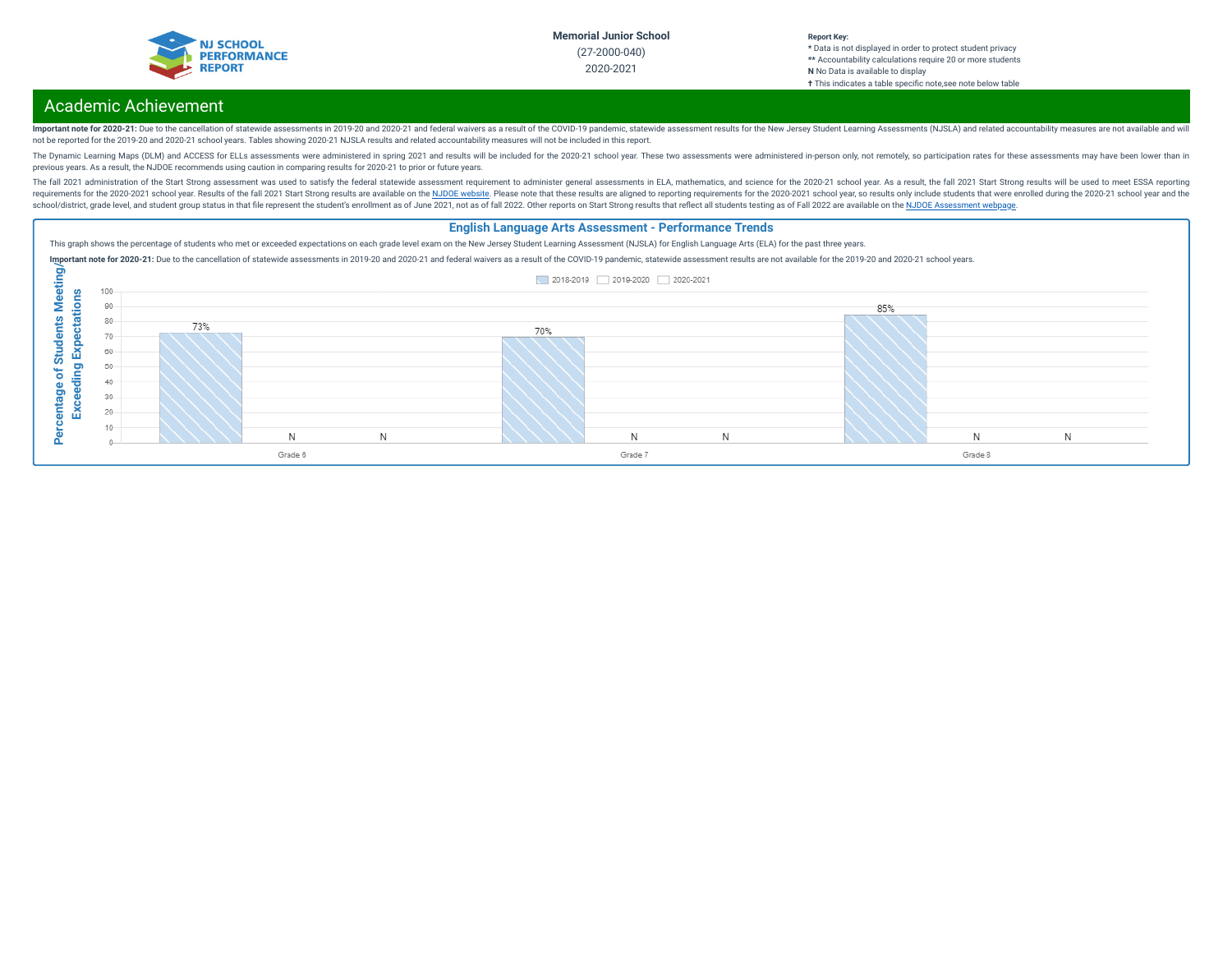

# Academic Achievement

Important note for 2020-21: Due to the cancellation of statewide assessments in 2019-20 and 2020-21 and federal waivers as a result of the COVID-19 pandemic, statewide assessment results for the New Jersey Student Learning not be reported for the 2019-20 and 2020-21 school years. Tables showing 2020-21 NJSLA results and related accountability measures will not be included in this report.

The Dynamic Learning Maps (DLM) and ACCESS for ELLs assessments were administered in spring 2021 and results will be included for the 2020-21 school year. These two assessments were administered in-person only, not remotel previous years. As a result, the NJDOE recommends using caution in comparing results for 2020-21 to prior or future years.

The fall 2021 administration of the Start Strong assessment was used to satisfy the federal statewide assessment requirement to administer general assessments in ELA, mathematics, and science for the 2020-21 school year. A requirements for the 2020-2021 school year. Results of the fall 2021 Start Strong results are available on the NJDOE [website](https://www.state.nj.us/education/title1/accountability/progress/21/). Please note that these results are aligned to reporting requirements for the 2020-2021 school ye school/district, grade level, and student group status in that file represent the student's enrollment as of June 2021, not as of fall 2022. Other reports on Start Strong results that reflect all students testing as of Fal

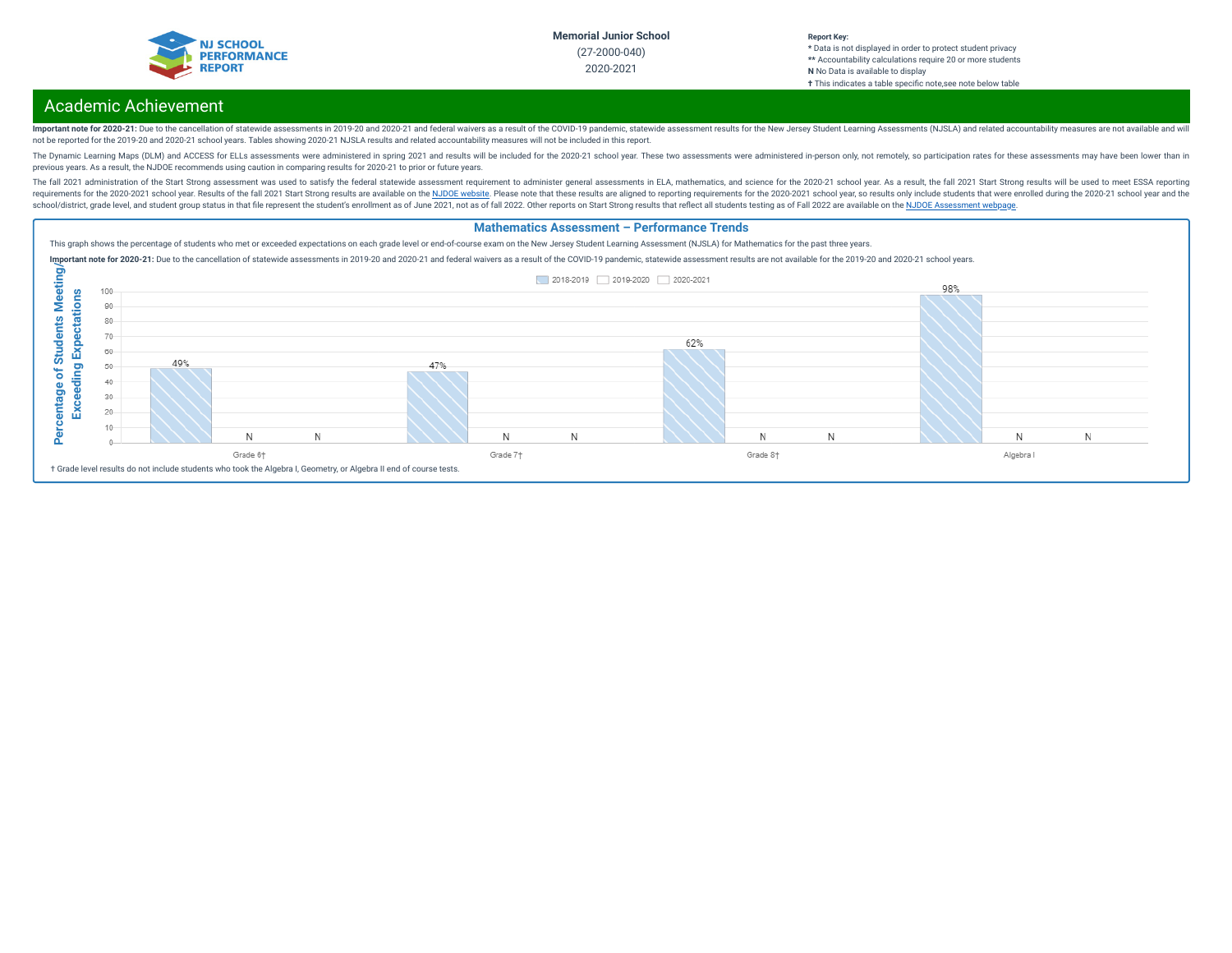

## Academic Achievement

Important note for 2020-21: Due to the cancellation of statewide assessments in 2019-20 and 2020-21 and federal waivers as a result of the COVID-19 pandemic, statewide assessment results for the New Jersey Student Learning not be reported for the 2019-20 and 2020-21 school years. Tables showing 2020-21 NJSLA results and related accountability measures will not be included in this report.

The Dynamic Learning Maps (DLM) and ACCESS for ELLs assessments were administered in spring 2021 and results will be included for the 2020-21 school year. These two assessments were administered in-person only, not remotel previous years. As a result, the NJDOE recommends using caution in comparing results for 2020-21 to prior or future years.

The fall 2021 administration of the Start Strong assessment was used to satisfy the federal statewide assessment requirement to administer general assessments in ELA, mathematics, and science for the 2020-21 school year. A requirements for the 2020-2021 school year. Results of the fall 2021 Start Strong results are available on the NJDOE [website](https://www.state.nj.us/education/title1/accountability/progress/21/). Please note that these results are aligned to reporting requirements for the 2020-2021 school ye school/district, grade level, and student group status in that file represent the student's enrollment as of June 2021, not as of fall 2022. Other reports on Start Strong results that reflect all students testing as of Fal

### **Mathematics Assessment – Performance Trends**

This graph shows the percentage of students who met or exceeded expectations on each grade level or end-of-course exam on the New Jersey Student Learning Assessment (NJSLA) for Mathematics for the past three years.

Important note for 2020-21: Due to the cancellation of statewide assessments in 2019-20 and 2020-21 and federal waivers as a result of the COVID-19 pandemic, statewide assessment results are not available for the 2019-20 a

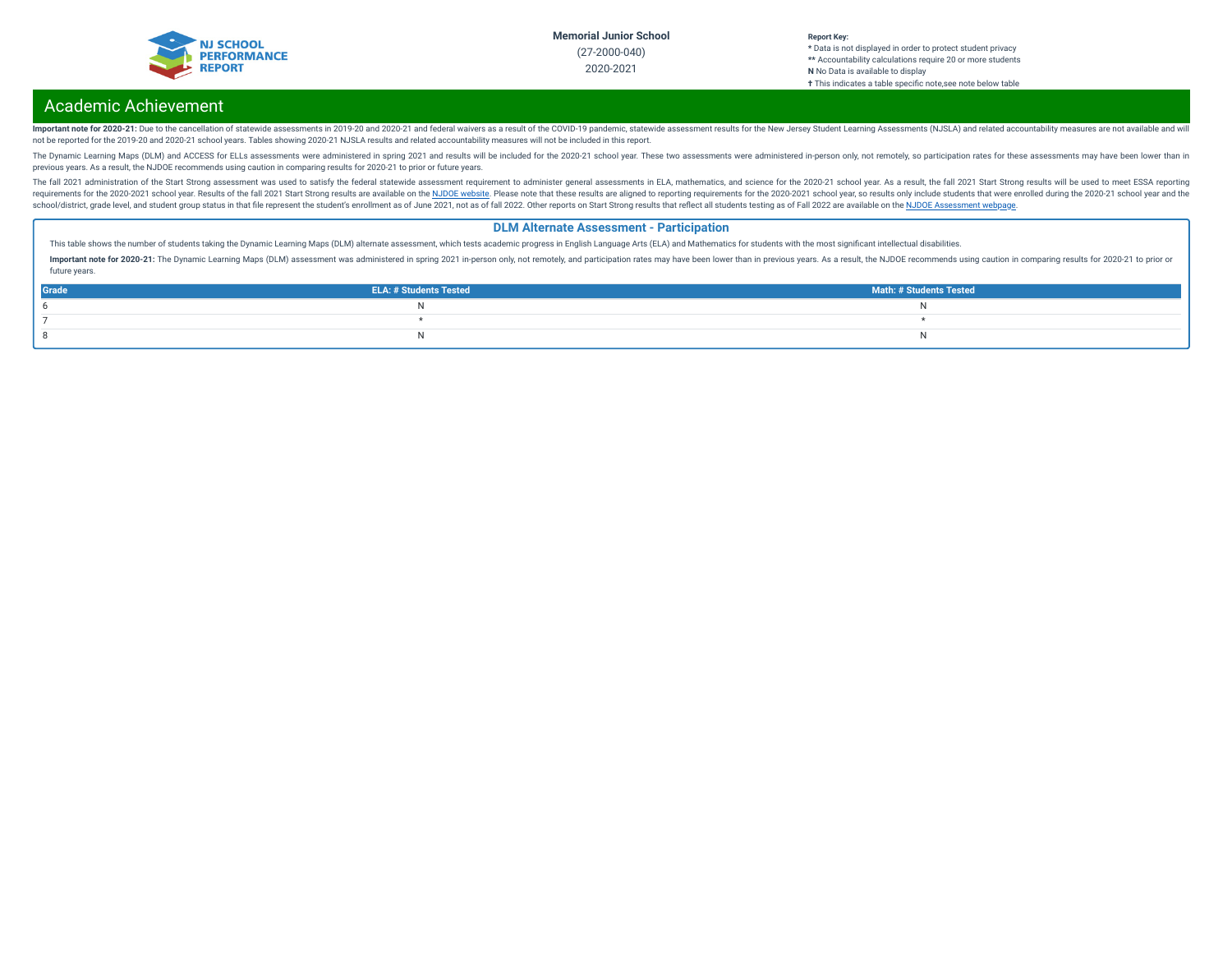

## Academic Achievement

Important note for 2020-21: Due to the cancellation of statewide assessments in 2019-20 and 2020-21 and federal waivers as a result of the COVID-19 pandemic, statewide assessment results for the New Jersey Student Learning not be reported for the 2019-20 and 2020-21 school years. Tables showing 2020-21 NJSLA results and related accountability measures will not be included in this report.

The Dynamic Learning Maps (DLM) and ACCESS for ELLs assessments were administered in spring 2021 and results will be included for the 2020-21 school year. These two assessments were administered in-person only, not remotel previous years. As a result, the NJDOE recommends using caution in comparing results for 2020-21 to prior or future years.

The fall 2021 administration of the Start Strong assessment was used to satisfy the federal statewide assessment requirement to administer general assessments in ELA, mathematics, and science for the 2020-21 school year. A requirements for the 2020-2021 school year. Results of the fall 2021 Start Strong results are available on the NJDOE [website](https://www.state.nj.us/education/title1/accountability/progress/21/). Please note that these results are aligned to reporting requirements for the 2020-2021 school ye school/district, grade level, and student group status in that file represent the student's enrollment as of June 2021, not as of fall 2022. Other reports on Start Strong results that reflect all students testing as of Fal

### **DLM Alternate Assessment - Participation**

This table shows the number of students taking the Dynamic Learning Maps (DLM) alternate assessment, which tests academic progress in English Language Arts (ELA) and Mathematics for students with the most significant intel

Important note for 2020-21: The Dynamic Learning Maps (DLM) assessment was administered in spring 2021 in-person only, not remotely, and participation rates may have been lower than in previous years. As a result, the NJDO future years.

| Grade | <b>ELA: # Students Tested</b> | <b>Math: # Students Tested</b> |
|-------|-------------------------------|--------------------------------|
|       |                               |                                |
|       |                               |                                |
|       |                               |                                |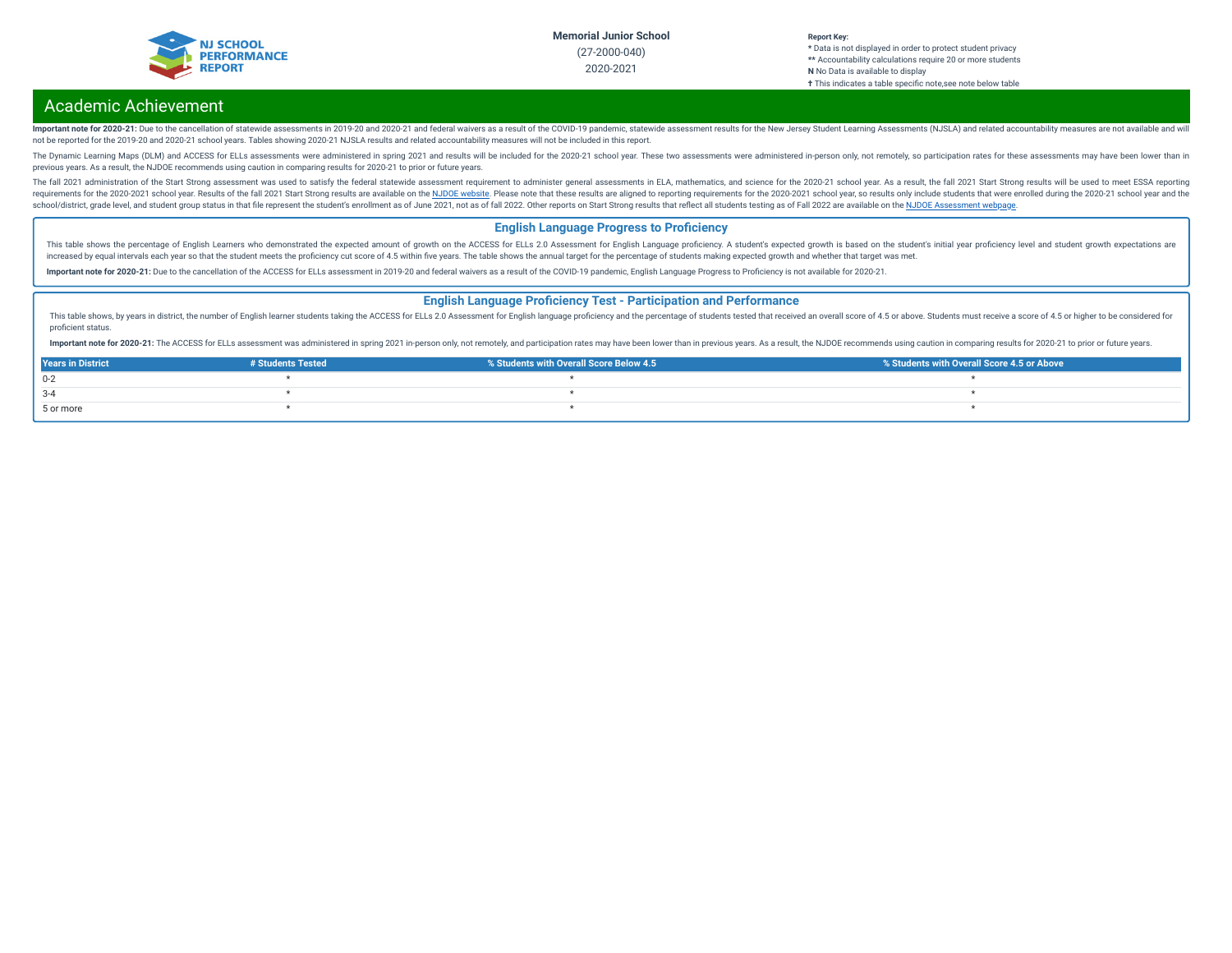

## Academic Achievement

Important note for 2020-21: Due to the cancellation of statewide assessments in 2019-20 and 2020-21 and federal waivers as a result of the COVID-19 pandemic, statewide assessment results for the New Jersey Student Learning not be reported for the 2019-20 and 2020-21 school years. Tables showing 2020-21 NJSLA results and related accountability measures will not be included in this report.

The Dynamic Learning Maps (DLM) and ACCESS for ELLs assessments were administered in spring 2021 and results will be included for the 2020-21 school year. These two assessments were administered in-person only, not remotel previous years. As a result, the NJDOE recommends using caution in comparing results for 2020-21 to prior or future years.

The fall 2021 administration of the Start Strong assessment was used to satisfy the federal statewide assessment requirement to administer general assessments in ELA, mathematics, and science for the 2020-21 school year. A requirements for the 2020-2021 school year. Results of the fall 2021 Start Strong results are available on the NJDOE [website](https://www.state.nj.us/education/title1/accountability/progress/21/). Please note that these results are aligned to reporting requirements for the 2020-2021 school ye school/district, grade level, and student group status in that file represent the student's enrollment as of June 2021, not as of fall 2022. Other reports on Start Strong results that reflect all students testing as of Fal

### **English Language Progress to Proficiency**

This table shows the percentage of English Learners who demonstrated the expected amount of growth on the ACCESS for ELLs 2.0 Assessment for English Language proficiency. A student's expected growth is based on the student increased by equal intervals each year so that the student meets the proficiency cut score of 4.5 within five years. The table shows the annual target for the percentage of students making expected growth and whether that

Important note for 2020-21: Due to the cancellation of the ACCESS for ELLs assessment in 2019-20 and federal waivers as a result of the COVID-19 pandemic, English Language Progress to Proficiency is not available for 2020-

### **English Language Proficiency Test - Participation and Performance**

This table shows, by years in district, the number of English learner students taking the ACCESS for ELLs 2.0 Assessment for English language proficiency and the percentage of students tested that received an overall score proficient status.

Important note for 2020-21: The ACCESS for ELLs assessment was administered in spring 2021 in-person only, not remotely, and participation rates may have been lower than in previous years. As a result, the NJDOE recommends

| <b>Years in District</b> | # Students Tested | % Students with Overall Score Below 4.5 | ↓ % Students with Overall Score 4.5 or Above |
|--------------------------|-------------------|-----------------------------------------|----------------------------------------------|
| $0 - 2$                  |                   |                                         |                                              |
| $3 - 4$                  |                   |                                         |                                              |
| 5 or more                |                   |                                         |                                              |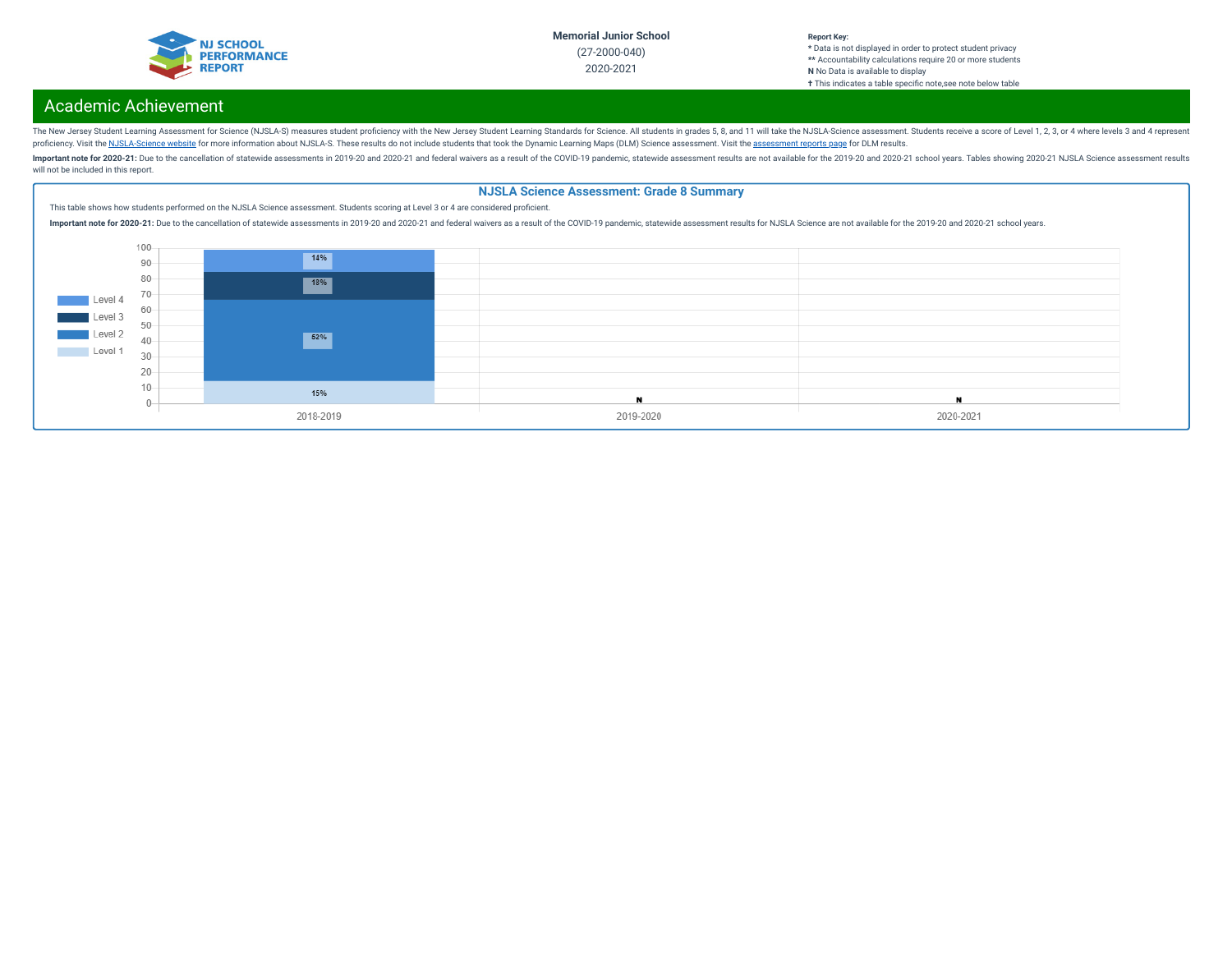

#### **Report Key: \*** Data is not displayed in order to protect student privacy **\*\*** Accountability calculations require 20 or more students **N** No Data is available to display **†** This indicates a table specific note, see note below table

# Academic Achievement

The New Jersey Student Learning Assessment for Science (NJSLA-S) measures student proficiency with the New Jersey Student Learning Standards for Science. All students in grades 5, 8, and 11 will take the NJSLA-Science asse proficiency. Visit the [NJSLA-Science](https://www.nj.gov/education/assessment/resources/science/) website for more information about NJSLA-S. These results do not include students that took the Dynamic Learning Maps (DLM) Science [assessment](https://www.nj.gov/education/schools/achievement/). Visit the assessment reports page for DLM

Important note for 2020-21: Due to the cancellation of statewide assessments in 2019-20 and 2020-21 and federal waivers as a result of the COVID-19 pandemic, statewide assessment results are not available for the 2019-20 a will not be included in this report.

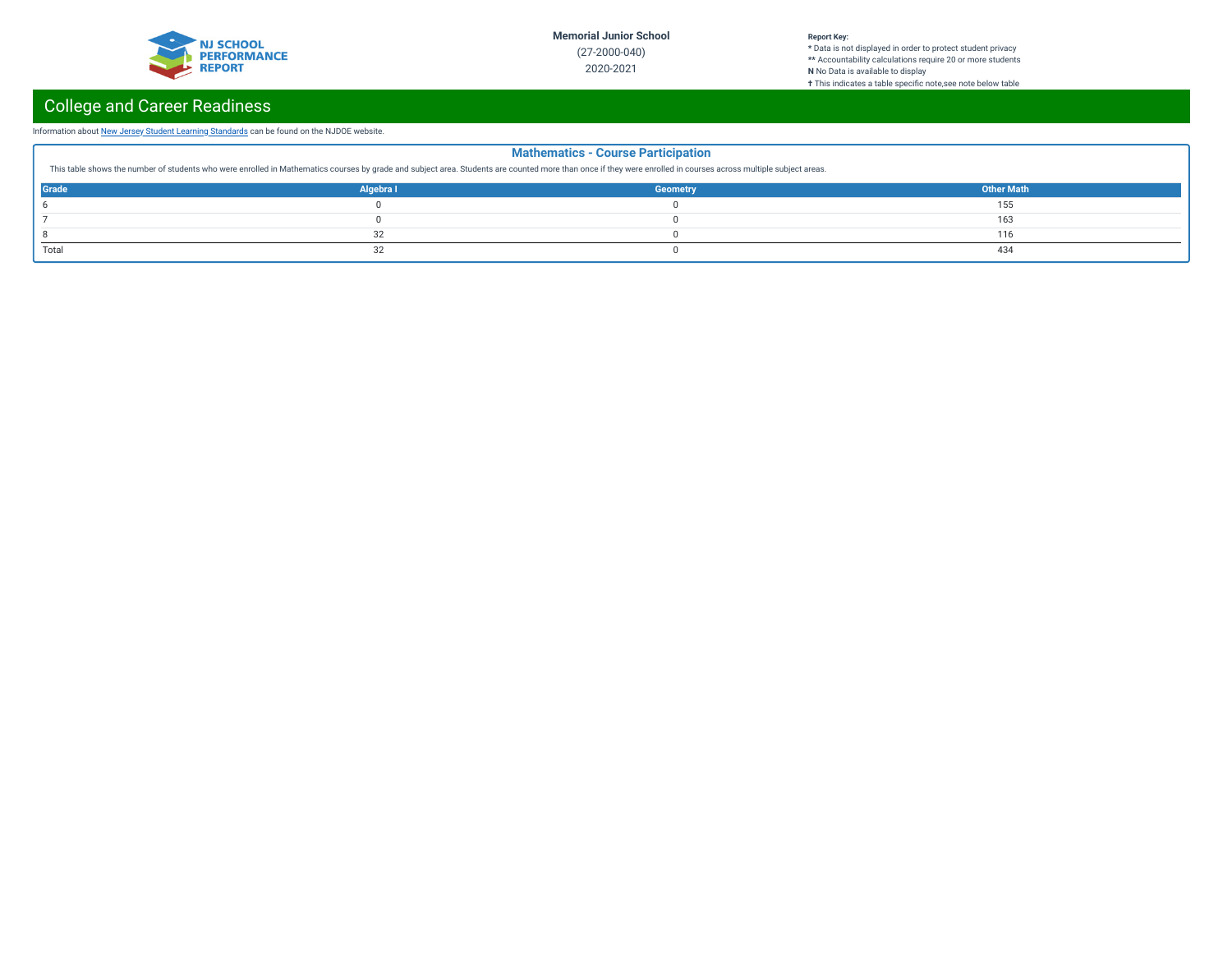

### **Report Key:**

**\*** Data is not displayed in order to protect student privacy **\*\*** Accountability calculations require 20 or more students **N** No Data is available to display **†** This indicates a table specic note,see note below table

# College and Career Readiness

### Information about New Jersey Student Learning [Standards](https://www.nj.gov/education/cccs/) can be found on the NJDOE website.

| <b>Mathematics - Course Participation</b><br>This table shows the number of students who were enrolled in Mathematics courses by grade and subject area. Students are counted more than once if they were enrolled in courses across multiple subject areas. |           |                 |                   |  |
|--------------------------------------------------------------------------------------------------------------------------------------------------------------------------------------------------------------------------------------------------------------|-----------|-----------------|-------------------|--|
| Grade                                                                                                                                                                                                                                                        | Algebra I | <b>Geometry</b> | <b>Other Math</b> |  |
|                                                                                                                                                                                                                                                              |           |                 | 55                |  |
|                                                                                                                                                                                                                                                              |           |                 | 163               |  |
|                                                                                                                                                                                                                                                              |           |                 | 16                |  |
| Total                                                                                                                                                                                                                                                        |           |                 | 434               |  |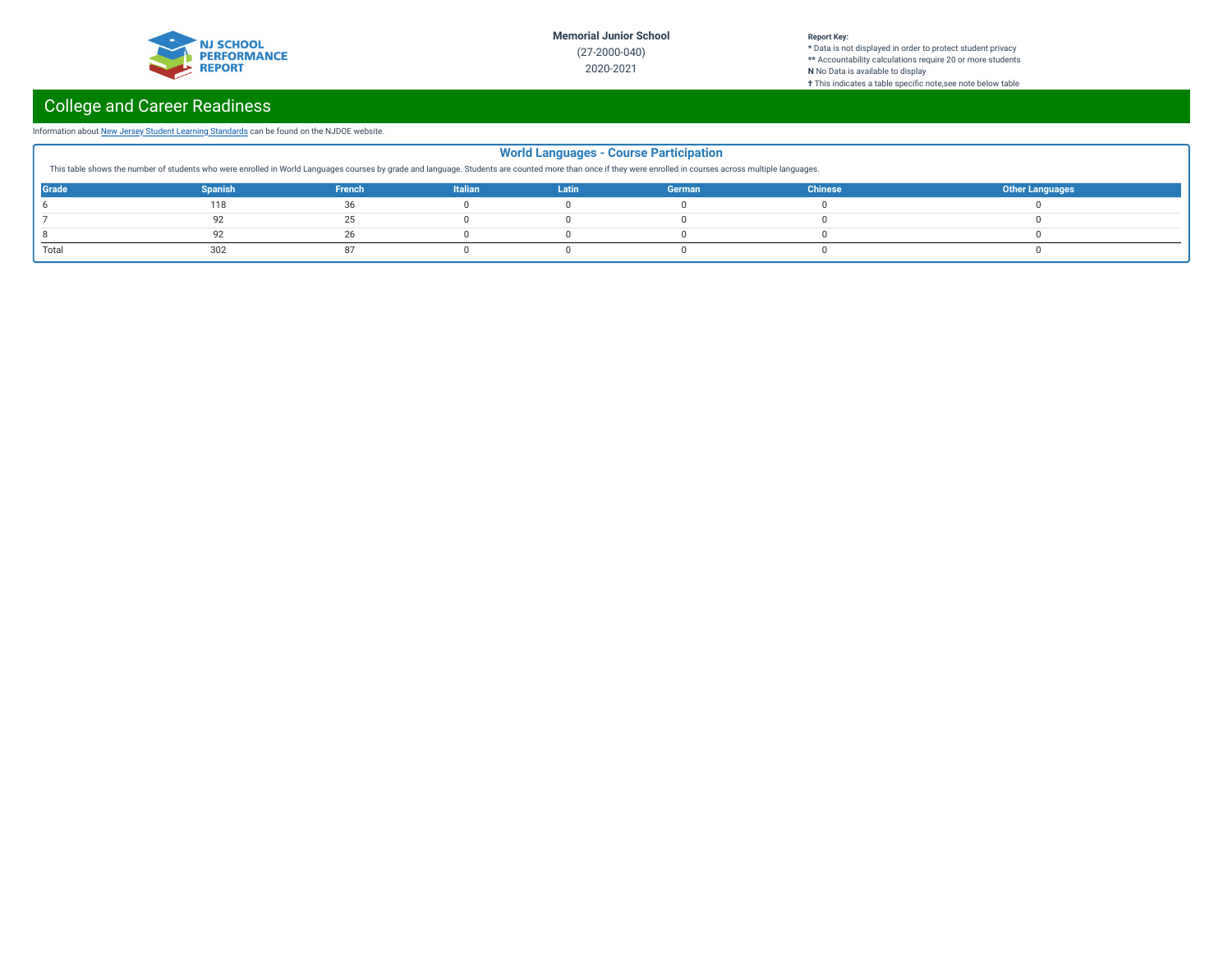

### **Report Key:**

**\*** Data is not displayed in order to protect student privacy **\*\*** Accountability calculations require 20 or more students **N** No Data is available to display **†** This indicates a table specic note,see note below table

# College and Career Readiness

### Information about New Jersey Student Learning [Standards](https://www.nj.gov/education/cccs/) can be found on the NJDOE website.

| <b>World Languages - Course Participation</b><br>This table shows the number of students who were enrolled in World Languages courses by grade and language. Students are counted more than once if they were enrolled in courses across multiple languages. |                |        |                |       |        |                |                        |  |
|--------------------------------------------------------------------------------------------------------------------------------------------------------------------------------------------------------------------------------------------------------------|----------------|--------|----------------|-------|--------|----------------|------------------------|--|
| Grade                                                                                                                                                                                                                                                        | <b>Spanish</b> | French | <b>Italian</b> | Latin | German | <b>Chinese</b> | <b>Other Languages</b> |  |
|                                                                                                                                                                                                                                                              | 118            | 36     |                |       |        |                |                        |  |
|                                                                                                                                                                                                                                                              |                | 25     |                |       |        |                |                        |  |
|                                                                                                                                                                                                                                                              |                | 26     |                |       |        |                |                        |  |
| Total                                                                                                                                                                                                                                                        |                |        |                |       |        |                |                        |  |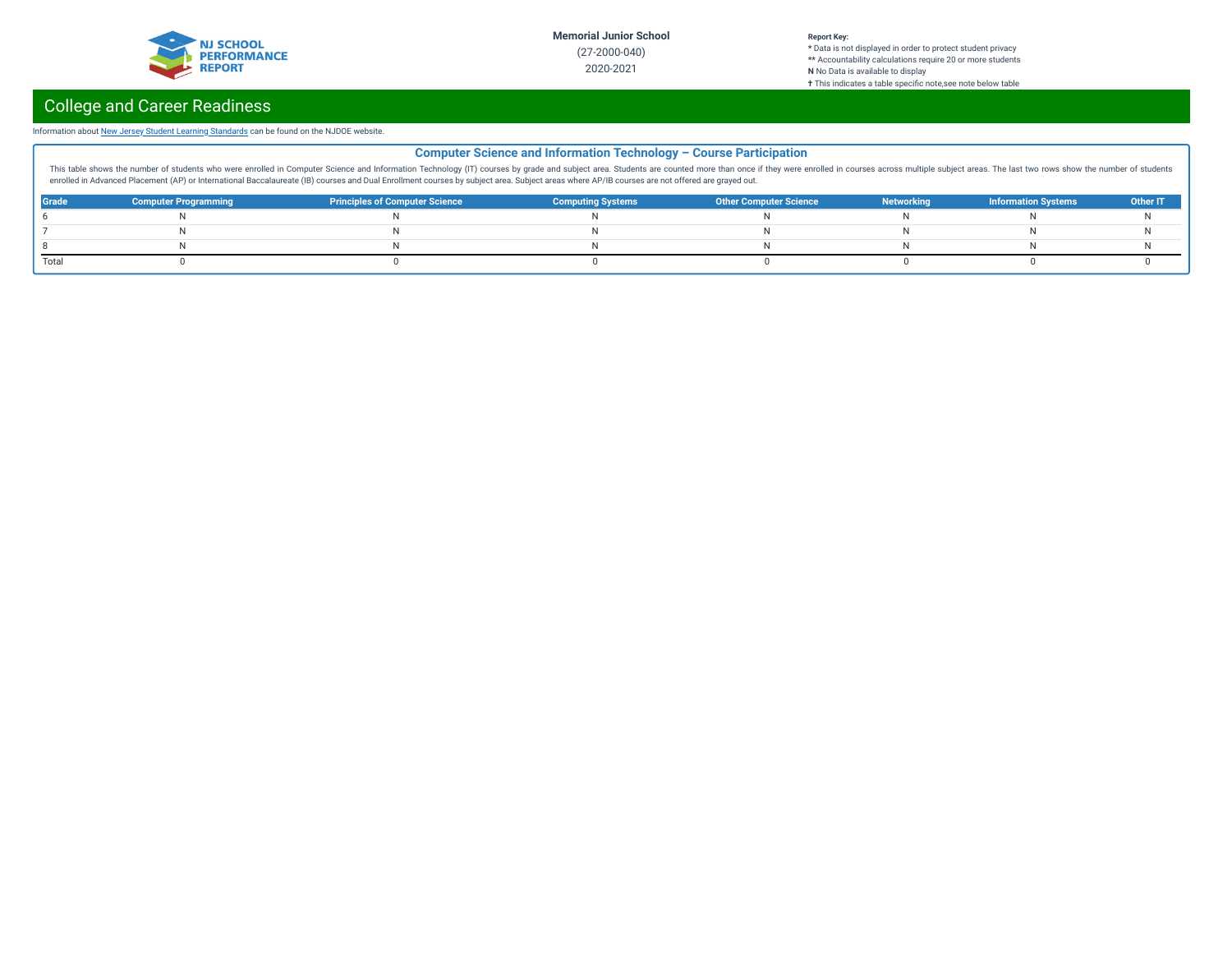

**\*** Data is not displayed in order to protect student privacy **\*\*** Accountability calculations require 20 or more students **N** No Data is available to display **†** This indicates a table specic note,see note below table

# College and Career Readiness

### Information about New Jersey Student Learning [Standards](https://www.nj.gov/education/cccs/) can be found on the NJDOE website.

|              | <b>Computer Science and Information Technology - Course Participation</b>                                                                                                                                                      |                                       |                          |                               |                   |                            |          |  |  |  |
|--------------|--------------------------------------------------------------------------------------------------------------------------------------------------------------------------------------------------------------------------------|---------------------------------------|--------------------------|-------------------------------|-------------------|----------------------------|----------|--|--|--|
|              | This table shows the number of students who were enrolled in Computer Science and Information Technology (IT) courses by grade and subject area. Students are counted more than once if they were enrolled in courses across m |                                       |                          |                               |                   |                            |          |  |  |  |
|              | enrolled in Advanced Placement (AP) or International Baccalaureate (IB) courses and Dual Enrollment courses by subject area. Subject areas where AP/IB courses are not offered are grayed out.                                 |                                       |                          |                               |                   |                            |          |  |  |  |
| <b>Grade</b> | <b>Computer Programming</b>                                                                                                                                                                                                    | <b>Principles of Computer Science</b> | <b>Computing Systems</b> | <b>Other Computer Science</b> | <b>Networking</b> | <b>Information Systems</b> | Other IT |  |  |  |
|              |                                                                                                                                                                                                                                |                                       |                          |                               |                   |                            |          |  |  |  |
|              |                                                                                                                                                                                                                                |                                       |                          |                               |                   |                            |          |  |  |  |
|              |                                                                                                                                                                                                                                |                                       |                          |                               |                   |                            |          |  |  |  |
| Total        |                                                                                                                                                                                                                                |                                       |                          |                               |                   |                            |          |  |  |  |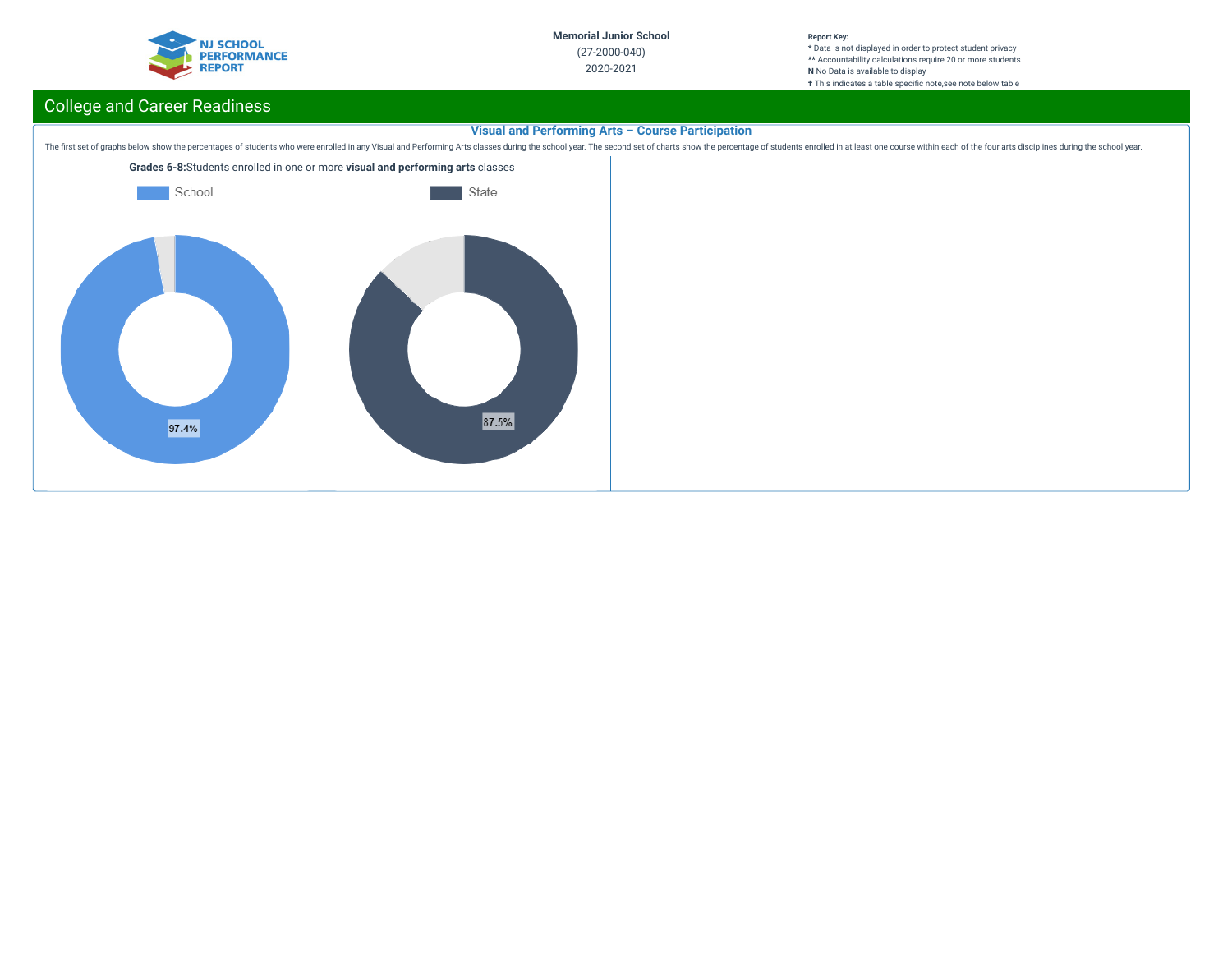

**\*** Data is not displayed in order to protect student privacy **\*\*** Accountability calculations require 20 or more students **N** No Data is available to display **†** This indicates a table specific note, see note below table

# College and Career Readiness

## **Visual and Performing Arts – Course Participation**

The first set of graphs below show the percentages of students who were enrolled in any Visual and Performing Arts classes during the school year. The second set of charts show the percentage of students enrolled in at lea

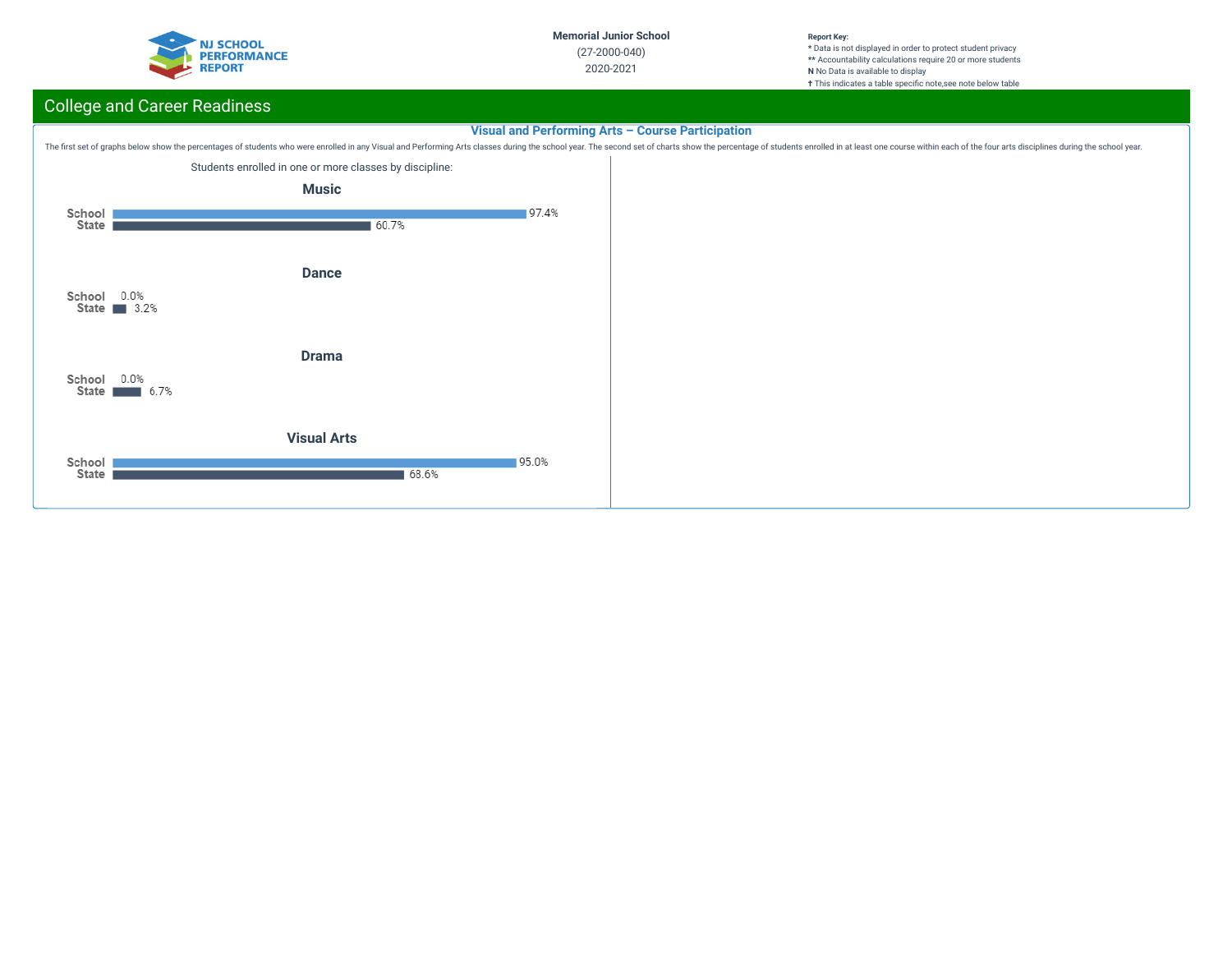

**\*** Data is not displayed in order to protect student privacy **\*\*** Accountability calculations require 20 or more students **N** No Data is available to display **†** This indicates a table specific note, see note below table

# College and Career Readiness

## **Visual and Performing Arts – Course Participation**

The first set of graphs below show the percentages of students who were enrolled in any Visual and Performing Arts classes during the school year. The second set of charts show the percentage of students enrolled in at lea

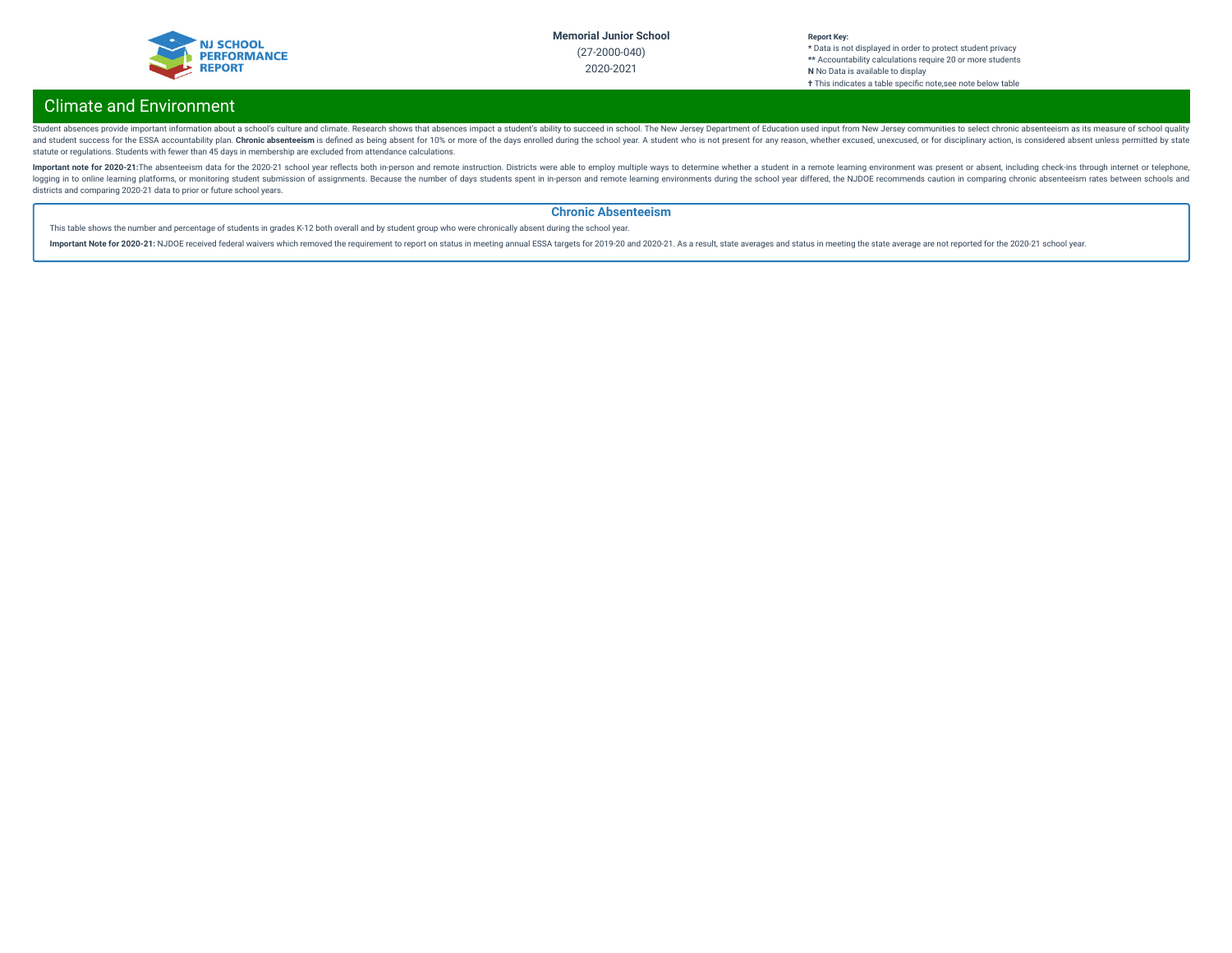

# Climate and Environment

Student absences provide important information about a school's culture and climate. Research shows that absences impact a student's ability to succeed in school. The New Jersey Department of Education used input from New and student success for the ESSA accountability plan. Chronic absenteeism is defined as being absent for 10% or more of the days enrolled during the school year. A student who is not present for any reason, whether excused statute or regulations. Students with fewer than 45 days in membership are excluded from attendance calculations.

Important note for 2020-21:The absenteeism data for the 2020-21 school year reflects both in-person and remote instruction. Districts were able to employ multiple ways to determine whether a student in a remote learning en logging in to online learning platforms, or monitoring student submission of assignments. Because the number of days students spent in in-person and remote learning environments during the school year differed, the NJDOE r districts and comparing 2020-21 data to prior or future school years.

### **Chronic Absenteeism**

This table shows the number and percentage of students in grades K-12 both overall and by student group who were chronically absent during the school year.

Important Note for 2020-21: NJDOE received federal waivers which removed the requirement to report on status in meeting annual ESSA targets for 2019-20 and 2020-21. As a result, state averages and status in meeting the sta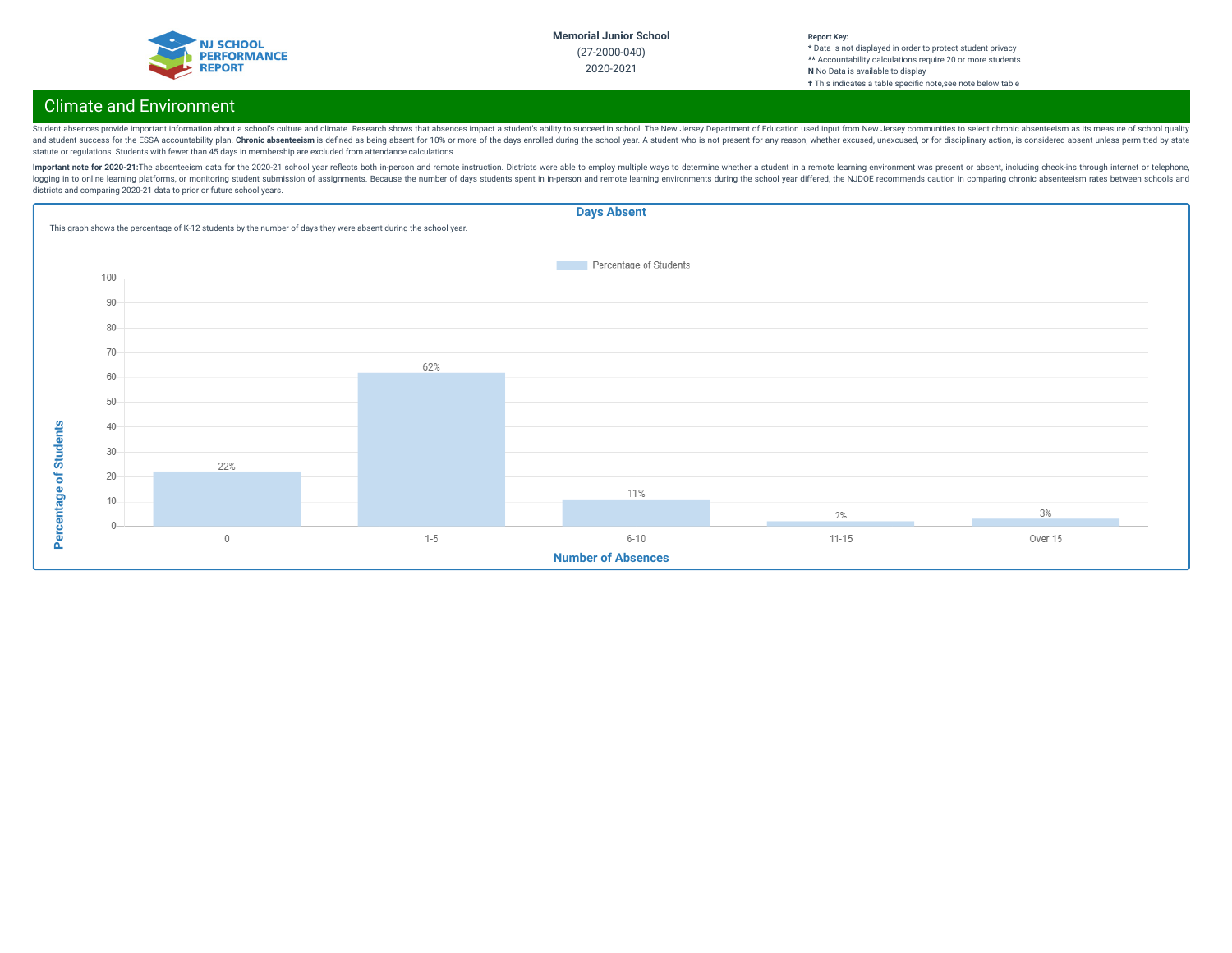

#### **Report Key: \*** Data is not displayed in order to protect student privacy **\*\*** Accountability calculations require 20 or more students **N** No Data is available to display **†** This indicates a table specic note,see note below table

# Climate and Environment

Student absences provide important information about a school's culture and climate. Research shows that absences impact a student's ability to succeed in school. The New Jersey Department of Education used input from New and student success for the ESSA accountability plan. Chronic absenteeism is defined as being absent for 10% or more of the days enrolled during the school year. A student who is not present for any reason, whether excused statute or regulations. Students with fewer than 45 days in membership are excluded from attendance calculations.

Important note for 2020-21:The absenteeism data for the 2020-21 school year reflects both in-person and remote instruction. Districts were able to employ multiple ways to determine whether a student in a remote learning en logging in to online learning platforms, or monitoring student submission of assignments. Because the number of days students spent in in-person and remote learning environments during the school year differed, the NJDOE r districts and comparing 2020-21 data to prior or future school years.

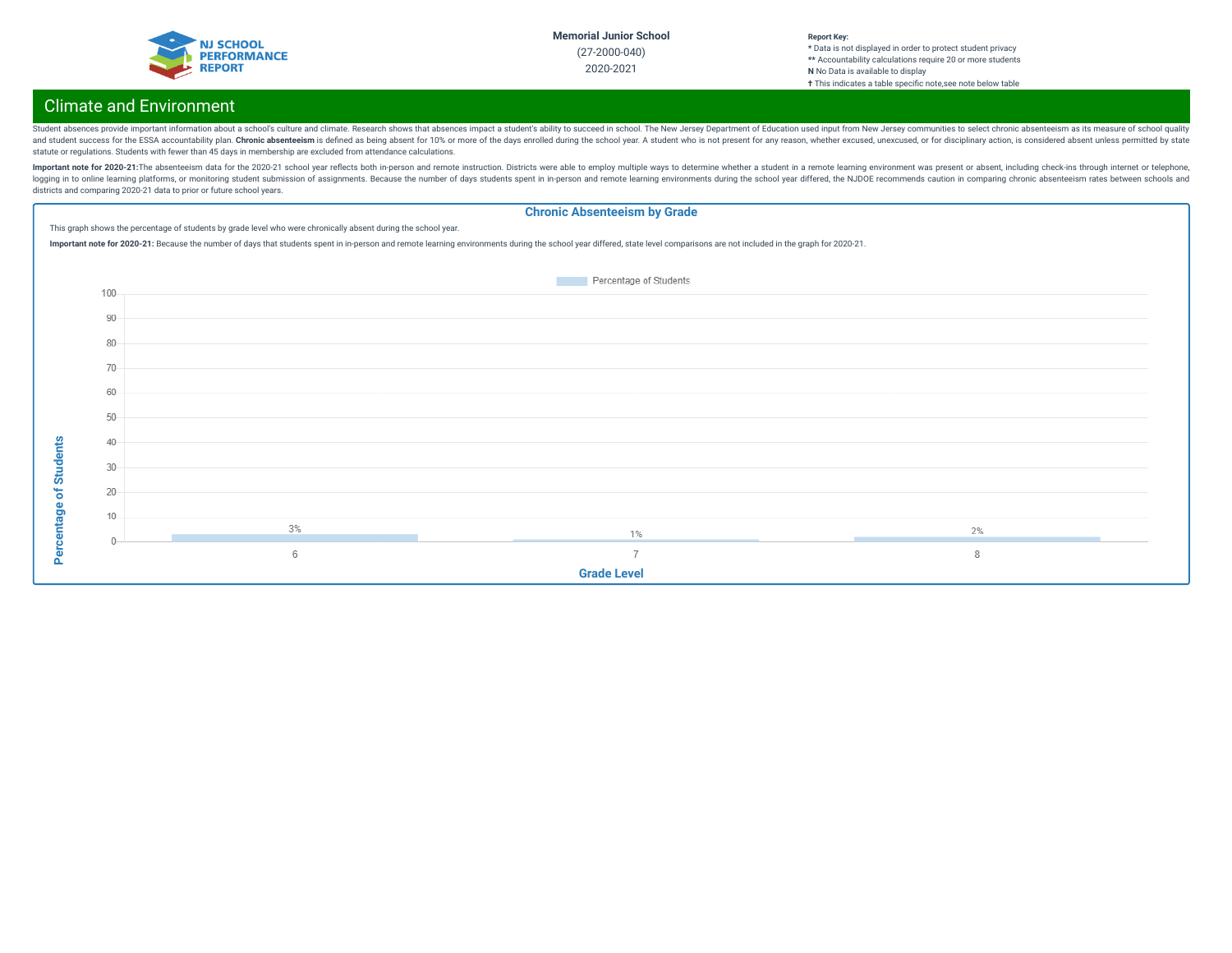

#### **Report Key: \*** Data is not displayed in order to protect student privacy **\*\*** Accountability calculations require 20 or more students **N** No Data is available to display **†** This indicates a table specic note,see note below table

# Climate and Environment

Student absences provide important information about a school's culture and climate. Research shows that absences impact a student's ability to succeed in school. The New Jersey Department of Education used input from New and student success for the ESSA accountability plan. Chronic absenteeism is defined as being absent for 10% or more of the days enrolled during the school year. A student who is not present for any reason, whether excused statute or regulations. Students with fewer than 45 days in membership are excluded from attendance calculations.

Important note for 2020-21:The absenteeism data for the 2020-21 school year reflects both in-person and remote instruction. Districts were able to employ multiple ways to determine whether a student in a remote learning en logging in to online learning platforms, or monitoring student submission of assignments. Because the number of days students spent in in-person and remote learning environments during the school year differed, the NJDOE r districts and comparing 2020-21 data to prior or future school years.

### **Chronic Absenteeism by Grade**

This graph shows the percentage of students by grade level who were chronically absent during the school year.

Important note for 2020-21: Because the number of days that students spent in in-person and remote learning environments during the school year differed, state level comparisons are not included in the graph for 2020-21.

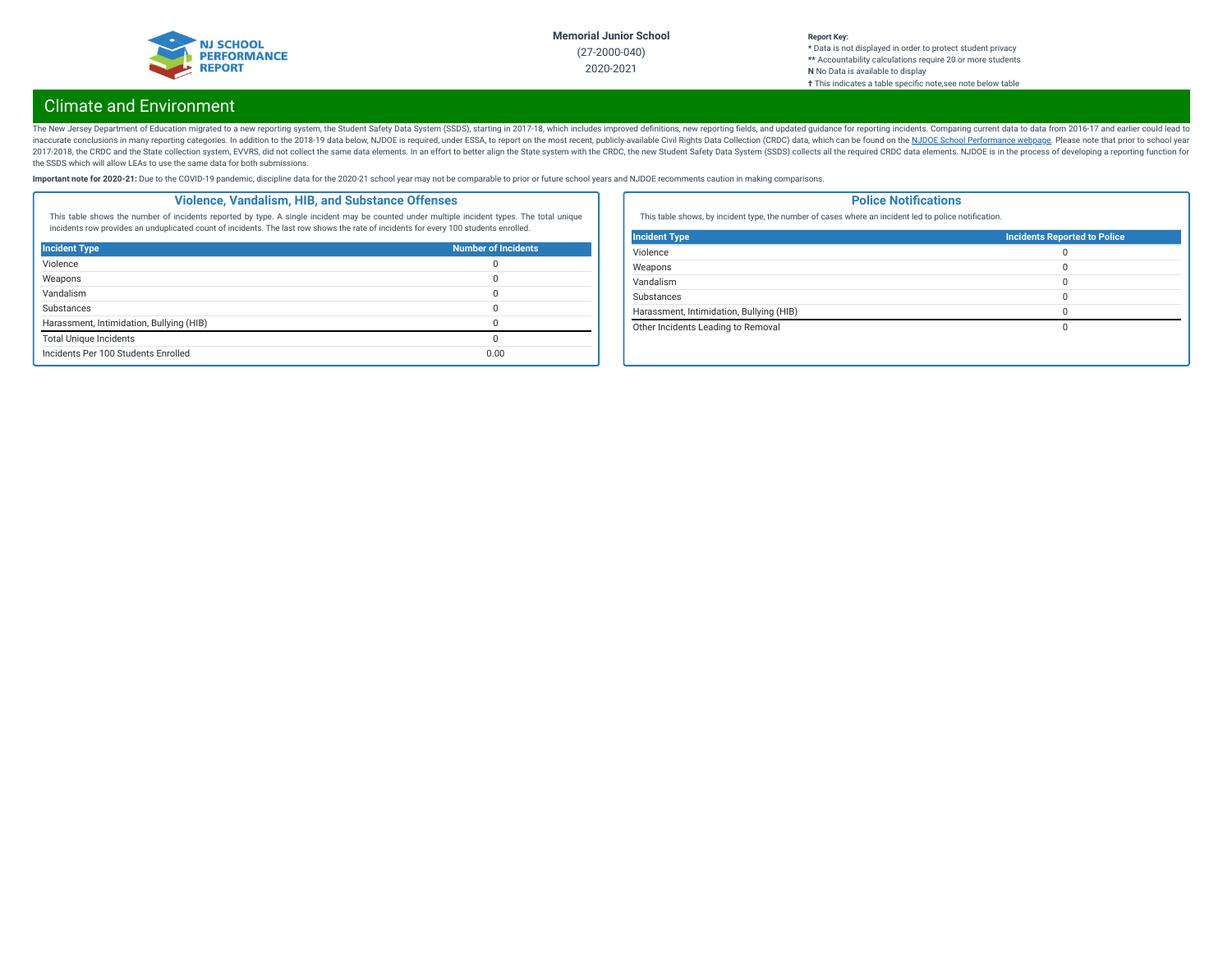

#### **Report Key: \*** Data is not displayed in order to protect student privacy **\*\*** Accountability calculations require 20 or more students **N** No Data is available to display **†** This indicates a table specic note,see note below table

# Climate and Environment

The New Jersey Department of Education migrated to a new reporting system, the Student Safety Data System (SSDS), starting in 2017-18, which includes improved definitions, new reporting fields, and updated guidance for rep inaccurate conclusions in many reporting categories. In addition to the 2018-19 data below, NJDOE is required, under ESSA, to report on the most recent, publicly-available Civil Rights Data Collection (CRDC) data, which ca 2017-2018, the CRDC and the State collection system, EVVRS, did not collect the same data elements. In an effort to better align the State system with the CRDC, the new Student Safety Data System (SSDS) collects all the re the SSDS which will allow LEAs to use the same data for both submissions.

Important note for 2020-21: Due to the COVID-19 pandemic, discipline data for the 2020-21 school year may not be comparable to prior or future school years and NJDOE recomments caution in making comparisons.

### **Violence, Vandalism, HIB, and Substance Offenses**

This table shows the number of incidents reported by type. A single incident may be counted under multiple incident types. The total unique incidents row provides an unduplicated count of incidents. The last row shows the rate of incidents for every 100 students enrolled.

| <b>Incident Type</b>                     | <b>Number of Incidents</b> |
|------------------------------------------|----------------------------|
| Violence                                 |                            |
| Weapons                                  |                            |
| Vandalism                                |                            |
| Substances                               |                            |
| Harassment, Intimidation, Bullying (HIB) |                            |
| <b>Total Unique Incidents</b>            |                            |
| Incidents Per 100 Students Enrolled      | 0.00                       |

### **Police Notifications**

This table shows, by incident type, the number of cases where an incident led to police notification.

| <b>Incident Type</b>                     | <b>Incidents Reported to Police</b> |
|------------------------------------------|-------------------------------------|
| Violence                                 | 0                                   |
| Weapons                                  | $\Omega$                            |
| Vandalism                                | 0                                   |
| Substances                               | 0                                   |
| Harassment, Intimidation, Bullying (HIB) | $\Omega$                            |
| Other Incidents Leading to Removal       | 0                                   |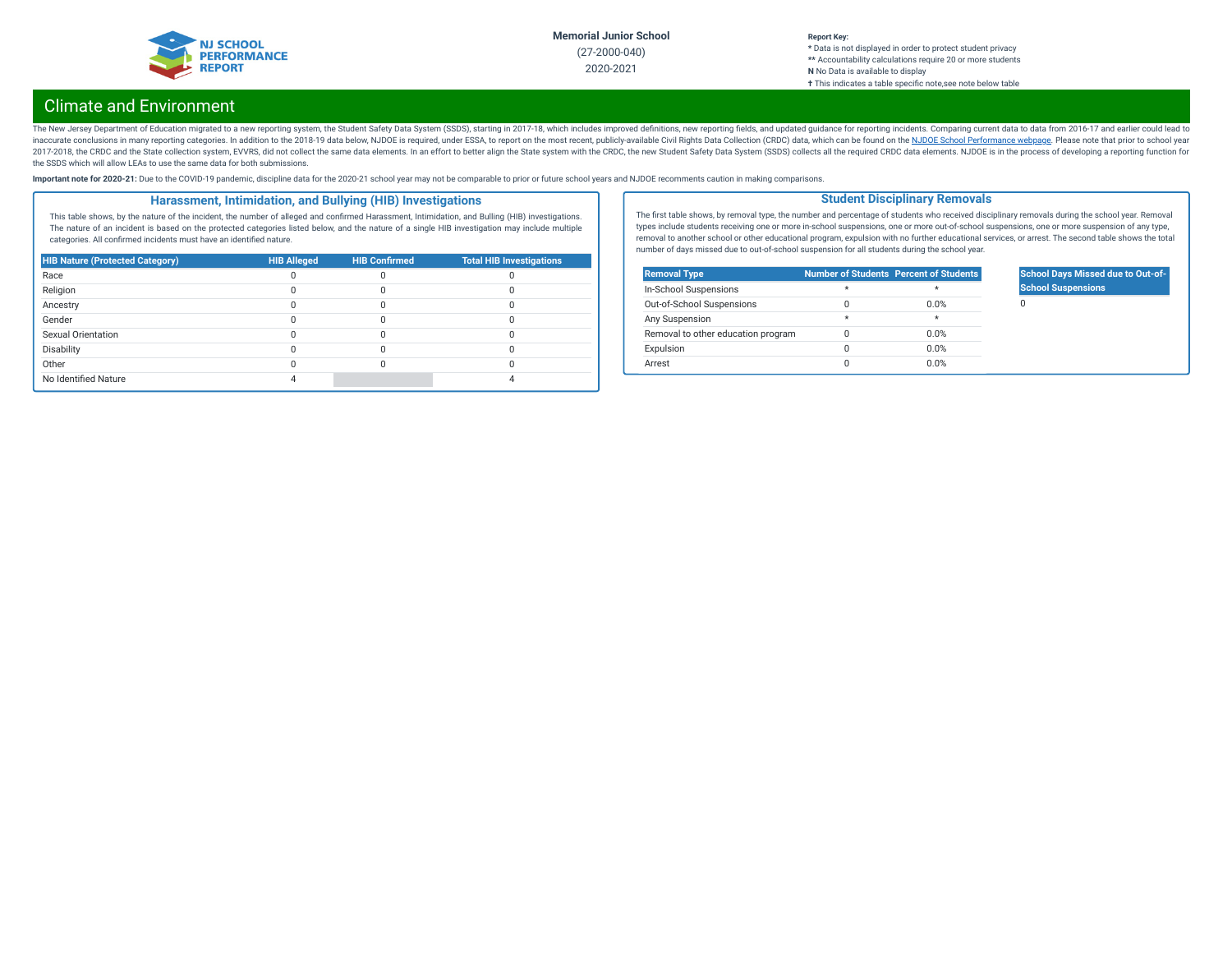

#### **Report Key:**

**\*** Data is not displayed in order to protect student privacy **\*\*** Accountability calculations require 20 or more students **N** No Data is available to display **†** This indicates a table specic note,see note below table

# Climate and Environment

The New Jersey Department of Education migrated to a new reporting system, the Student Safety Data System (SSDS), starting in 2017-18, which includes improved definitions, new reporting fields, and updated guidance for rep inaccurate conclusions in many reporting categories. In addition to the 2018-19 data below, NJDOE is required, under ESSA, to report on the most recent, publicly-available Civil Rights Data Collection (CRDC) data, which ca 2017-2018, the CRDC and the State collection system, EVVRS, did not collect the same data elements. In an effort to better align the State system with the CRDC, the new Student Safety Data System (SSDS) collects all the re the SSDS which will allow LEAs to use the same data for both submissions.

Important note for 2020-21: Due to the COVID-19 pandemic, discipline data for the 2020-21 school year may not be comparable to prior or future school years and NJDOE recomments caution in making comparisons.

### **Harassment, Intimidation, and Bullying (HIB) Investigations**

This table shows, by the nature of the incident, the number of alleged and confirmed Harassment, Intimidation, and Bulling (HIB) investigations. The nature of an incident is based on the protected categories listed below, and the nature of a single HIB investigation may include multiple categories. All confirmed incidents must have an identified nature.

| <b>HIB Nature (Protected Category)</b> | <b>HIB Alleged</b> | <b>HIB Confirmed</b> | <b>Total HIB Investigations</b> |
|----------------------------------------|--------------------|----------------------|---------------------------------|
| Race                                   |                    |                      |                                 |
| Religion                               |                    |                      |                                 |
| Ancestry                               |                    |                      |                                 |
| Gender                                 |                    |                      |                                 |
| Sexual Orientation                     |                    |                      |                                 |
| Disability                             |                    |                      |                                 |
| Other                                  |                    |                      |                                 |
| No Identified Nature                   |                    |                      |                                 |

The first table shows, by removal type, the number and percentage of students who received disciplinary removals during the school year. Removal types include students receiving one or more in-school suspensions, one or more out-of-school suspensions, one or more suspension of any type, removal to another school or other educational program, expulsion with no further educational services, or arrest. The second table shows the total number of days missed due to out-of-school suspension for all students during the school year.

**Student Disciplinary Removals**

| <b>Removal Type</b>                |         | <b>Number of Students Percent of Students</b> |
|------------------------------------|---------|-----------------------------------------------|
| In-School Suspensions              | $\star$ | ÷                                             |
| Out-of-School Suspensions          |         | 0.0%                                          |
| Any Suspension                     | $\star$ | $\star$                                       |
| Removal to other education program |         | 0.0%                                          |
| Expulsion                          |         | 0.0%                                          |
| Arrest                             |         | 0.0%                                          |

## **School Days Missed due to Out-of-School Suspensions**

 $\Omega$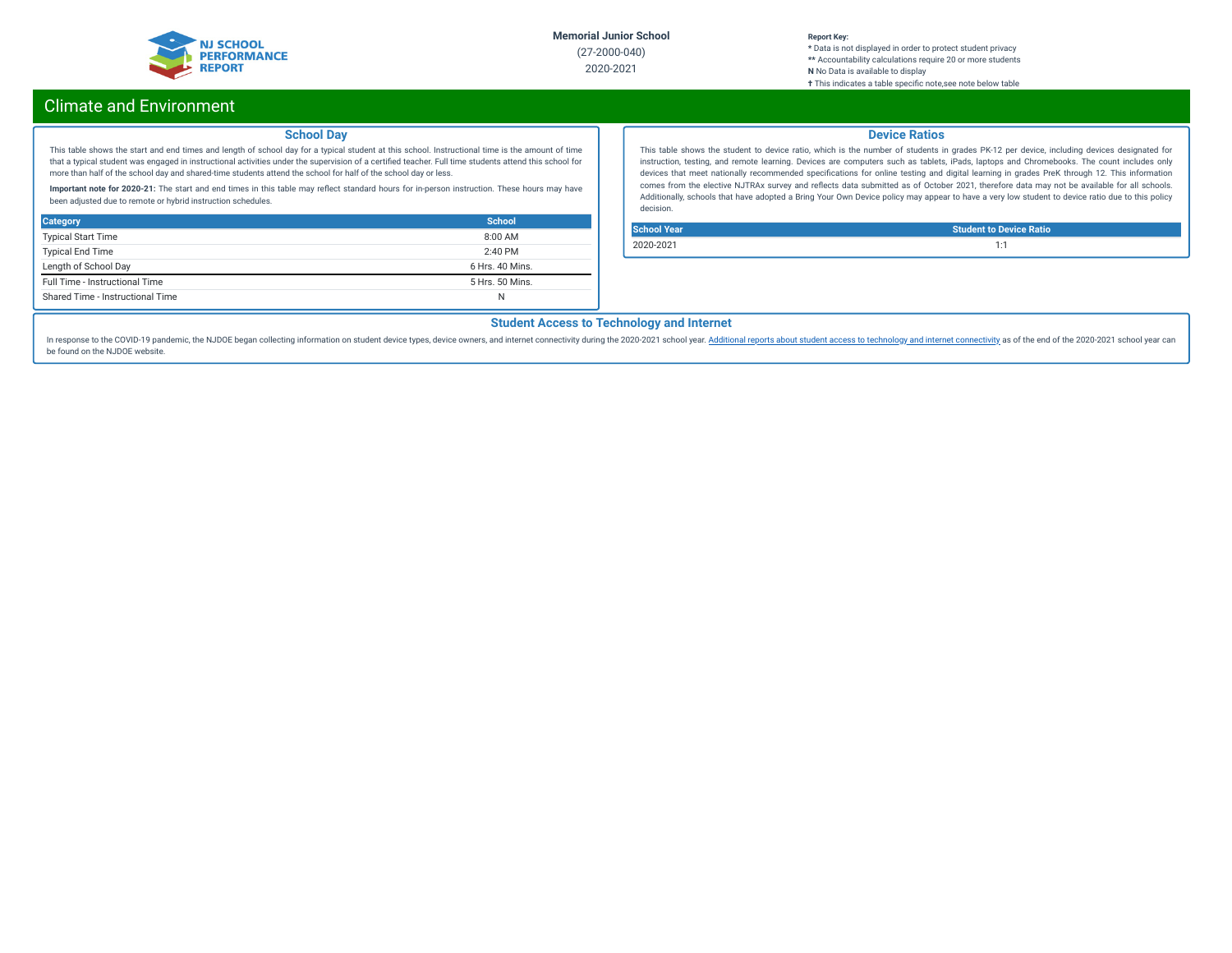

### **Report Key:**

**\*** Data is not displayed in order to protect student privacy **\*\*** Accountability calculations require 20 or more students **N** No Data is available to display **†** This indicates a table specic note,see note below table

# Climate and Environment

### **School Day**

This table shows the start and end times and length of school day for a typical student at this school. Instructional time is the amount of time that a typical student was engaged in instructional activities under the supervision of a certified teacher. Full time students attend this school for more than half of the school day and shared-time students attend the school for half of the school day or less.

Important note for 2020-21: The start and end times in this table may reflect standard hours for in-person instruction. These hours may have been adjusted due to remote or hybrid instruction schedules.

| <b>Category</b>                  | School          |
|----------------------------------|-----------------|
| <b>Typical Start Time</b>        | $8:00$ AM       |
| <b>Typical End Time</b>          | $2:40$ PM       |
| Length of School Day             | 6 Hrs. 40 Mins. |
| Full Time - Instructional Time   | 5 Hrs. 50 Mins. |
| Shared Time - Instructional Time | N               |

### **Device Ratios**

This table shows the student to device ratio, which is the number of students in grades PK-12 per device, including devices designated for instruction, testing, and remote learning. Devices are computers such as tablets, iPads, laptops and Chromebooks. The count includes only devices that meet nationally recommended specifications for online testing and digital learning in grades PreK through 12. This information comes from the elective NJTRAx survey and reflects data submitted as of October 2021, therefore data may not be available for all schools. Additionally, schools that have adopted a Bring Your Own Device policy may appear to have a very low student to device ratio due to this policy decision.

**School Year Student to Device Ratio** 2020-2021 1:1

### **Student Access to Technology and Internet**

In response to the COVID-19 pandemic, the NJDOE began collecting information on student device types, device owners, and internet [connectivity](https://www.nj.gov/education/schoolperformance/climate/docs/2020-2021%20Opportunity%20to%20Learn%20Data.xlsx) during the 2020-2021 school year. Additional reports about student access to te be found on the NJDOE website.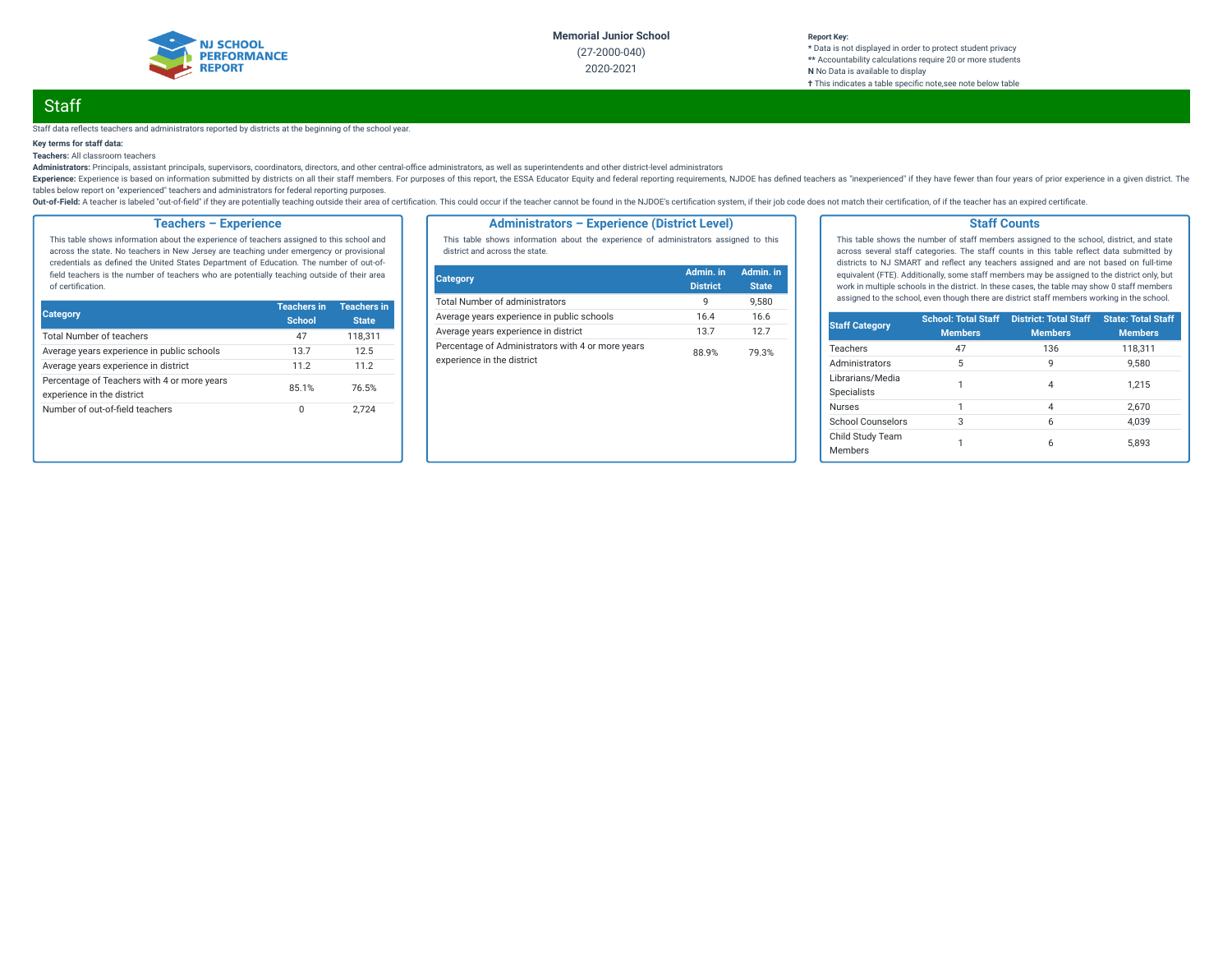

#### **Report Key: \*** Data is not displayed in order to protect student privacy **\*\*** Accountability calculations require 20 or more students **N** No Data is available to display **†** This indicates a table specic note,see note below table

# **Staff**

#### Staff data reflects teachers and administrators reported by districts at the beginning of the school year.

### **Key terms for staff data:**

**Teachers:** All classroom teachers

Administrators: Principals, assistant principals, supervisors, coordinators, directors, and other central-office administrators, as well as superintendents and other district-level administrators

Experience: Experience is based on information submitted by districts on all their staff members. For purposes of this report, the ESSA Educator Equity and federal reporting requirements, NJDOE has defined teachers as "ine tables below report on "experienced" teachers and administrators for federal reporting purposes.

Out-of-Field: A teacher is labeled "out-of-field" if they are potentially teaching outside their area of certification. This could occur if the teacher cannot be found in the NJDOE's certification system, if their job code

### **Teachers – Experience**

This table shows information about the experience of teachers assigned to this school and across the state. No teachers in New Jersey are teaching under emergency or provisional credentials as defined the United States Department of Education. The number of out-offield teachers is the number of teachers who are potentially teaching outside of their area of certification.

| <b>Category</b>                                                           | <b>Teachers in</b><br><b>School</b> | <b>Teachers in</b><br><b>State</b> |
|---------------------------------------------------------------------------|-------------------------------------|------------------------------------|
| <b>Total Number of teachers</b>                                           | 47                                  | 118.311                            |
| Average years experience in public schools                                | 13.7                                | 12.5                               |
| Average years experience in district                                      | 112                                 | 11.2                               |
| Percentage of Teachers with 4 or more years<br>experience in the district | 85.1%                               | 76.5%                              |
| Number of out-of-field teachers                                           | 0                                   | 2.724                              |

### **Administrators – Experience (District Level)**

This table shows information about the experience of administrators assigned to this district and across the state.

| Category                                                                        | Admin. in<br><b>District</b> | Admin. in<br><b>State</b> |
|---------------------------------------------------------------------------------|------------------------------|---------------------------|
| <b>Total Number of administrators</b>                                           | q                            | 9.580                     |
| Average years experience in public schools                                      | 16.4                         | 16.6                      |
| Average years experience in district                                            | 13.7                         | 127                       |
| Percentage of Administrators with 4 or more years<br>experience in the district | 88.9%                        | 79.3%                     |

### **Staff Counts**

This table shows the number of staff members assigned to the school, district, and state across several staff categories. The staff counts in this table reflect data submitted by districts to NJ SMART and reflect any teachers assigned and are not based on full-time equivalent (FTE). Additionally, some staff members may be assigned to the district only, but work in multiple schools in the district. In these cases, the table may show 0 staff members assigned to the school, even though there are district staff members working in the school.

| <b>Staff Category</b>                  | <b>School: Total Staff</b><br><b>Members</b> | <b>District: Total Staff</b><br><b>Members</b> | <b>State: Total Staff</b><br><b>Members</b> |
|----------------------------------------|----------------------------------------------|------------------------------------------------|---------------------------------------------|
| Teachers                               | 47                                           | 136                                            | 118,311                                     |
| Administrators                         | 5                                            | 9                                              | 9.580                                       |
| Librarians/Media<br><b>Specialists</b> |                                              | 4                                              | 1.215                                       |
| <b>Nurses</b>                          | 1                                            | $\overline{4}$                                 | 2.670                                       |
| School Counselors                      | 3                                            | 6                                              | 4.039                                       |
| Child Study Team<br><b>Members</b>     |                                              | 6                                              | 5.893                                       |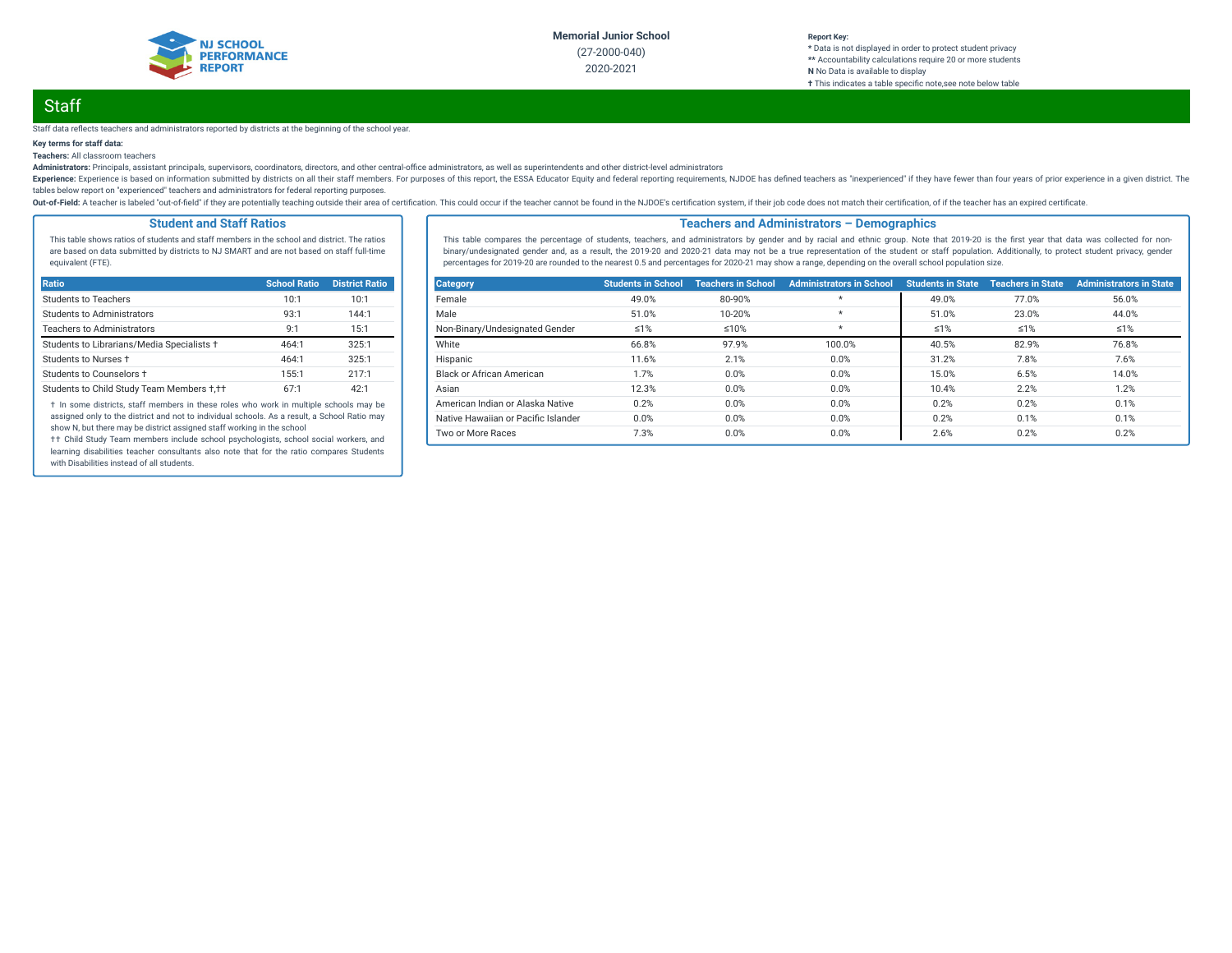

# **Staff**

#### Staff data reflects teachers and administrators reported by districts at the beginning of the school year.

### **Key terms for staff data:**

**Teachers:** All classroom teachers

Administrators: Principals, assistant principals, supervisors, coordinators, directors, and other central-office administrators, as well as superintendents and other district-level administrators

Experience: Experience is based on information submitted by districts on all their staff members. For purposes of this report, the ESSA Educator Equity and federal reporting requirements, NJDOE has defined teachers as "ine tables below report on "experienced" teachers and administrators for federal reporting purposes.

Out-of-Field: A teacher is labeled "out-of-field" if they are potentially teaching outside their area of certification. This could occur if the teacher cannot be found in the NJDOE's certification system, if their job code

### **Student and Staff Ratios**

This table shows ratios of students and staff members in the school and district. The ratios are based on data submitted by districts to NJ SMART and are not based on staff full-time equivalent (FTE).

| Ratio                                      | <b>School Ratio</b> | <b>District Ratio</b> |
|--------------------------------------------|---------------------|-----------------------|
| Students to Teachers                       | 10:1                | 10:1                  |
| <b>Students to Administrators</b>          | 93:1                | 144:1                 |
| <b>Teachers to Administrators</b>          | Q·1                 | 15:1                  |
| Students to Librarians/Media Specialists + | 464:1               | 325:1                 |
| Students to Nurses +                       | 464:1               | 325:1                 |
| Students to Counselors +                   | 155:1               | 217:1                 |
| Students to Child Study Team Members +,++  | 67:1                | 42:1                  |

† In some districts, staff members in these roles who work in multiple schools may be assigned only to the district and not to individual schools. As a result, a School Ratio may show N, but there may be district assigned staff working in the school

†† Child Study Team members include school psychologists, school social workers, and learning disabilities teacher consultants also note that for the ratio compares Students with Disabilities instead of all students.

### **Teachers and Administrators – Demographics**

This table compares the percentage of students, teachers, and administrators by gender and by racial and ethnic group. Note that 2019-20 is the first year that data was collected for nonbinary/undesignated gender and, as a result, the 2019-20 and 2020-21 data may not be a true representation of the student or staff population. Additionally, to protect student privacy, gender percentages for 2019-20 are rounded to the nearest 0.5 and percentages for 2020-21 may show a range, depending on the overall school population size.

| <b>Category</b>                     | <b>Students in School</b> | <b>Teachers in School</b> | <b>Administrators in School</b> | <b>Students in State</b> | <b>Teachers in State</b> | <b>Administrators in State</b> |
|-------------------------------------|---------------------------|---------------------------|---------------------------------|--------------------------|--------------------------|--------------------------------|
| Female                              | 49.0%                     | 80-90%                    | $\star$                         | 49.0%                    | 77.0%                    | 56.0%                          |
| Male                                | 51.0%                     | 10-20%                    | $\star$                         | 51.0%                    | 23.0%                    | 44.0%                          |
| Non-Binary/Undesignated Gender      | $\leq 1\%$                | $≤10%$                    | $\star$                         | $\leq 1\%$               | $\leq 1\%$               | ≤1%                            |
| White                               | 66.8%                     | 97.9%                     | 100.0%                          | 40.5%                    | 82.9%                    | 76.8%                          |
| Hispanic                            | 11.6%                     | 2.1%                      | 0.0%                            | 31.2%                    | 7.8%                     | 7.6%                           |
| <b>Black or African American</b>    | 1.7%                      | 0.0%                      | 0.0%                            | 15.0%                    | 6.5%                     | 14.0%                          |
| Asian                               | 12.3%                     | 0.0%                      | 0.0%                            | 10.4%                    | 2.2%                     | 1.2%                           |
| American Indian or Alaska Native    | 0.2%                      | 0.0%                      | 0.0%                            | 0.2%                     | 0.2%                     | 0.1%                           |
| Native Hawaiian or Pacific Islander | 0.0%                      | 0.0%                      | 0.0%                            | 0.2%                     | 0.1%                     | 0.1%                           |
| Two or More Races                   | 7.3%                      | 0.0%                      | 0.0%                            | 2.6%                     | 0.2%                     | 0.2%                           |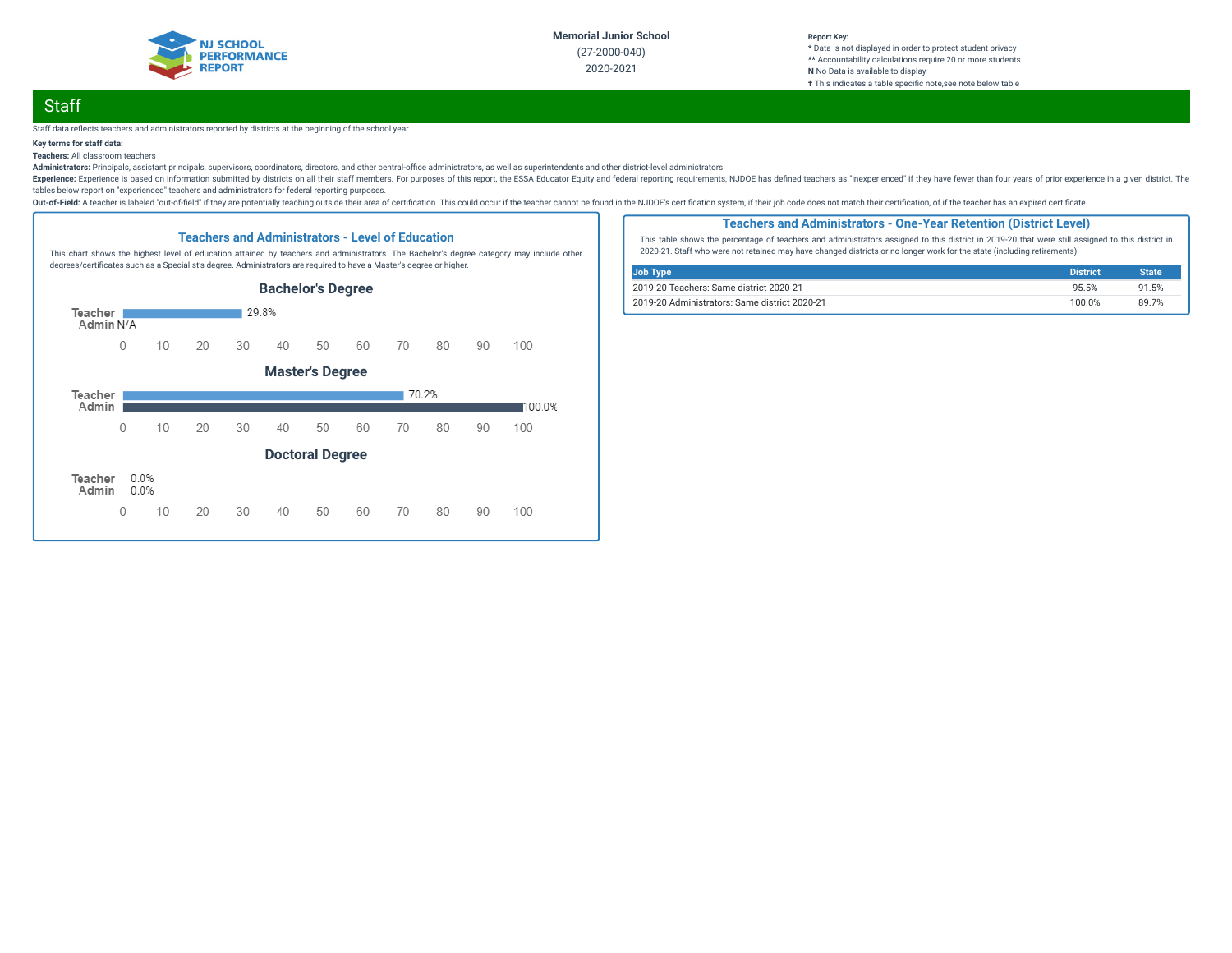

# **Staff**

#### Staff data reflects teachers and administrators reported by districts at the beginning of the school year.

### **Key terms for staff data:**

### **Teachers:** All classroom teachers

Administrators: Principals, assistant principals, supervisors, coordinators, directors, and other central-office administrators, as well as superintendents and other district-level administrators

Experience: Experience is based on information submitted by districts on all their staff members. For purposes of this report, the ESSA Educator Equity and federal reporting requirements, NJDOE has defined teachers as "ine tables below report on "experienced" teachers and administrators for federal reporting purposes.

Out-of-Field: A teacher is labeled "out-of-field" if they are potentially teaching outside their area of certification. This could occur if the teacher cannot be found in the NJDOE's certification system, if their job code



### **Teachers and Administrators - One-Year Retention (District Level)**

This table shows the percentage of teachers and administrators assigned to this district in 2019-20 that were still assigned to this district in 2020-21. Staff who were not retained may have changed districts or no longer work for the state (including retirements).

| Job Type                                      | <b>District</b> | <b>State</b> |
|-----------------------------------------------|-----------------|--------------|
| 2019-20 Teachers: Same district 2020-21       | 95.5%           | 91.5%        |
| 2019-20 Administrators: Same district 2020-21 | 100.0%          | 89 7%        |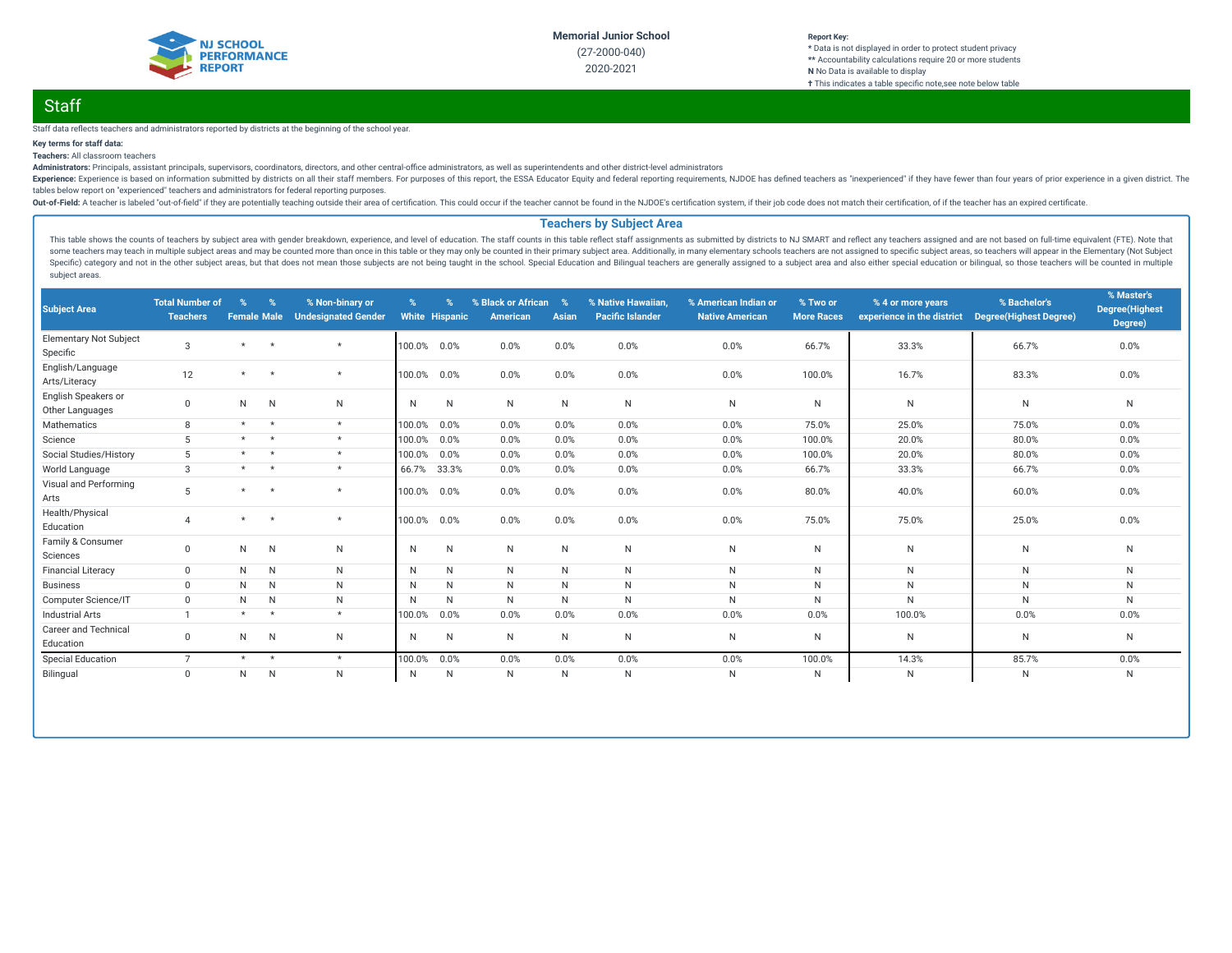

#### **Report Key: \*** Data is not displayed in order to protect student privacy **\*\*** Accountability calculations require 20 or more students **N** No Data is available to display **†** This indicates a table specific note, see note below table

# **Staff**

#### Staff data reflects teachers and administrators reported by districts at the beginning of the school year.

### **Key terms for staff data:**

### **Teachers:** All classroom teachers

Administrators: Principals, assistant principals, supervisors, coordinators, directors, and other central-office administrators, as well as superintendents and other district-level administrators

Experience: Experience is based on information submitted by districts on all their staff members. For purposes of this report, the ESSA Educator Equity and federal reporting requirements, NJDOE has defined teachers as "ine tables below report on "experienced" teachers and administrators for federal reporting purposes.

Out-of-Field: A teacher is labeled "out-of-field" if they are potentially teaching outside their area of certification. This could occur if the teacher cannot be found in the NJDOE's certification system, if their job code

### **Teachers by Subject Area**

This table shows the counts of teachers by subject area with gender breakdown, experience, and level of education. The staff counts in this table reflect staff assignments as submitted by districts to NJ SMART and reflect some teachers may teach in multiple subject areas and may be counted more than once in this table or they may only be counted in their primary subject area. Additionally, in many elementary schools teachers are not assigne Specific) category and not in the other subject areas, but that does not mean those subjects are not being taught in the school. Special Education and Bilingual teachers are generally assigned to a subject area and also ei subject areas.

| <b>Subject Area</b>                       | <b>Total Number of</b><br><b>Teachers</b> | $\%$<br><b>Female Male</b> | $\%$           | % Non-binary or<br><b>Undesignated Gender</b> | %            | %<br><b>White Hispanic</b> | % Black or African<br>American | $\%$<br>Asian | % Native Hawaiian,<br><b>Pacific Islander</b> | % American Indian or<br><b>Native American</b> | % Two or<br><b>More Races</b> | % 4 or more years<br>experience in the district | % Bachelor's<br><b>Degree(Highest Degree)</b> | % Master's<br><b>Degree(Highest</b><br>Degree) |
|-------------------------------------------|-------------------------------------------|----------------------------|----------------|-----------------------------------------------|--------------|----------------------------|--------------------------------|---------------|-----------------------------------------------|------------------------------------------------|-------------------------------|-------------------------------------------------|-----------------------------------------------|------------------------------------------------|
| <b>Elementary Not Subject</b><br>Specific | $\mathcal{S}$                             | $\star$                    | $\overline{ }$ | $\star$                                       | 100.0%       | 0.0%                       | 0.0%                           | 0.0%          | 0.0%                                          | 0.0%                                           | 66.7%                         | 33.3%                                           | 66.7%                                         | 0.0%                                           |
| English/Language<br>Arts/Literacy         | 12                                        | $\star$                    |                | $\star$                                       | 100.0%       | 0.0%                       | 0.0%                           | 0.0%          | 0.0%                                          | 0.0%                                           | 100.0%                        | 16.7%                                           | 83.3%                                         | 0.0%                                           |
| English Speakers or<br>Other Languages    | $\mathbf{0}$                              | N                          | N              | N                                             | $\mathsf{N}$ | N                          | N                              | N             | N                                             | N                                              | N                             | N                                               | $\mathsf{N}$                                  | N                                              |
| Mathematics                               | 8                                         | $\star$                    |                | $\star$                                       | 100.0%       | 0.0%                       | 0.0%                           | 0.0%          | 0.0%                                          | 0.0%                                           | 75.0%                         | 25.0%                                           | 75.0%                                         | 0.0%                                           |
| Science                                   | 5                                         | $\star$                    | $\star$        | $\star$                                       | 100.0%       | 0.0%                       | 0.0%                           | 0.0%          | 0.0%                                          | 0.0%                                           | 100.0%                        | 20.0%                                           | 80.0%                                         | 0.0%                                           |
| Social Studies/History                    | 5                                         | $\star$                    |                | $\star$                                       | 100.0%       | 0.0%                       | 0.0%                           | 0.0%          | 0.0%                                          | 0.0%                                           | 100.0%                        | 20.0%                                           | 80.0%                                         | 0.0%                                           |
| World Language                            | 3                                         | $\star$                    |                | $\star$                                       | 66.7%        | 33.3%                      | 0.0%                           | 0.0%          | 0.0%                                          | 0.0%                                           | 66.7%                         | 33.3%                                           | 66.7%                                         | 0.0%                                           |
| Visual and Performing<br>Arts             | 5                                         | $\star$                    |                | $\star$                                       | 100.0%       | 0.0%                       | 0.0%                           | 0.0%          | 0.0%                                          | 0.0%                                           | 80.0%                         | 40.0%                                           | 60.0%                                         | 0.0%                                           |
| Health/Physical<br>Education              |                                           | $\star$                    |                | $\star$                                       | 100.0%       | 0.0%                       | 0.0%                           | 0.0%          | 0.0%                                          | 0.0%                                           | 75.0%                         | 75.0%                                           | 25.0%                                         | 0.0%                                           |
| Family & Consumer<br>Sciences             | $\mathbf 0$                               | N                          | N              | N                                             | $\mathsf{N}$ | N                          | $\mathsf{N}$                   | N             | $\mathsf{N}$                                  | N                                              | N                             | N                                               | ${\sf N}$                                     | N                                              |
| <b>Financial Literacy</b>                 | $\mathbf{0}$                              | N                          | N              | N                                             | $\mathsf{N}$ | $\mathsf{N}$               | N                              | N             | N                                             | N                                              | N                             | N                                               | $\mathsf{N}$                                  | N                                              |
| <b>Business</b>                           | $\Omega$                                  | N                          | N              | $\mathsf{N}$                                  | $\mathsf{N}$ | N                          | N                              | $\mathsf{N}$  | ${\sf N}$                                     | N                                              | N                             | N                                               | ${\sf N}$                                     | N                                              |
| Computer Science/IT                       | $\mathbf 0$                               | N                          | N              | $\mathsf{N}$                                  | N            | N                          | N                              | $\mathsf{N}$  | N                                             | N                                              | N                             | N                                               | $\mathsf{N}$                                  | N                                              |
| <b>Industrial Arts</b>                    |                                           | $\star$                    | $\star$        | $\star$                                       | 100.0%       | 0.0%                       | 0.0%                           | 0.0%          | 0.0%                                          | 0.0%                                           | 0.0%                          | 100.0%                                          | 0.0%                                          | 0.0%                                           |
| <b>Career and Technical</b><br>Education  | $\mathbf 0$                               | N                          | N              | N                                             | N            | N                          | N                              | $\mathsf{N}$  | N                                             | N                                              | N                             | N                                               | N                                             | N                                              |
| <b>Special Education</b>                  | $\overline{7}$                            | $\star$                    | $\star$        | $\star$                                       | 100.0%       | 0.0%                       | 0.0%                           | 0.0%          | 0.0%                                          | 0.0%                                           | 100.0%                        | 14.3%                                           | 85.7%                                         | 0.0%                                           |
| Bilingual                                 | $\mathbf{0}$                              | N                          | $\mathsf{N}$   | N                                             | $\mathsf{N}$ | N                          | N                              | $\mathsf N$   | N                                             | N                                              | N                             | N                                               | ${\sf N}$                                     | N                                              |
|                                           |                                           |                            |                |                                               |              |                            |                                |               |                                               |                                                |                               |                                                 |                                               |                                                |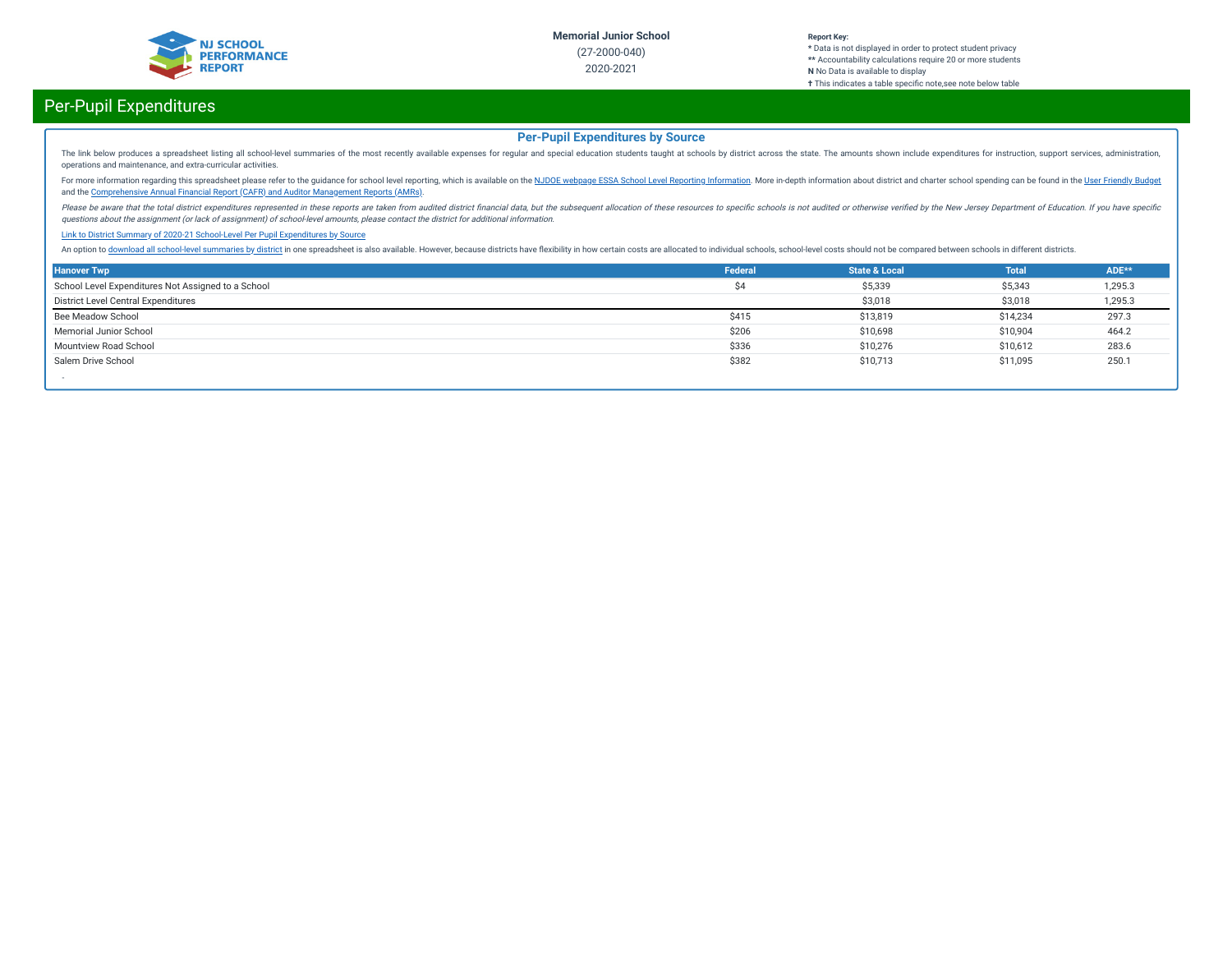

# Per-Pupil Expenditures

## **Per-Pupil Expenditures by Source**

The link below produces a spreadsheet listing all school-level summaries of the most recently available expenses for regular and special education students taught at schools by district across the state. The amounts shown operations and maintenance, and extra-curricular activities.

For more information regarding this spreadsheet please refer to the guidance for school level reporting, which is available on the NJDOE webpage ESSA School Level Reporting [Information](https://www.nj.gov/education/finance/fp/af/essa.shtml). More in-depth information about dist and the [Comprehensive](https://www.nj.gov/education/finance/fp/cafr/search/) Annual Financial Report (CAFR) and Auditor Management Reports (AMRs).

Please be aware that the total district expenditures represented in these reports are taken from audited district financial data, but the subsequent allocation of these resources to specific schools is not audited or other questions about the assignment (or lack of assignment) of school-level amounts, please contact the district for additional information.

#### Link to District Summary of [2020-21 School-Level](https://homeroom4.doe.state.nj.us/audsum/PpeReport?&did=2000&fileformat=html&reportname=PERFORMREPORT&fy=21) Per Pupil Expenditures by Source

An option to download all [school-level](https://homeroom4.doe.state.nj.us/audsum/PpeReport?&did=9999&fileformat=html&reportname=PERFORMREPORT&fy=21) summaries by district in one spreadsheet is also available. However, because districts have flexibility in how certain costs are allocated to individual schools, school-level costs sh

| <b>Hanover Twp</b>                                 | Federal | <b>State &amp; Local</b> | <b>Total</b> | ADE**   |
|----------------------------------------------------|---------|--------------------------|--------------|---------|
| School Level Expenditures Not Assigned to a School | Ś4      | \$5,339                  | \$5,343      | 1,295.3 |
| District Level Central Expenditures                |         | \$3,018                  | \$3,018      | 1,295.3 |
| Bee Meadow School                                  | \$415   | \$13,819                 | \$14,234     | 297.3   |
| Memorial Junior School                             | \$206   | \$10,698                 | \$10,904     | 464.2   |
| Mountview Road School                              | \$336   | \$10,276                 | \$10,612     | 283.6   |
| Salem Drive School                                 | \$382   | \$10,713                 | \$11,095     | 250.1   |
|                                                    |         |                          |              |         |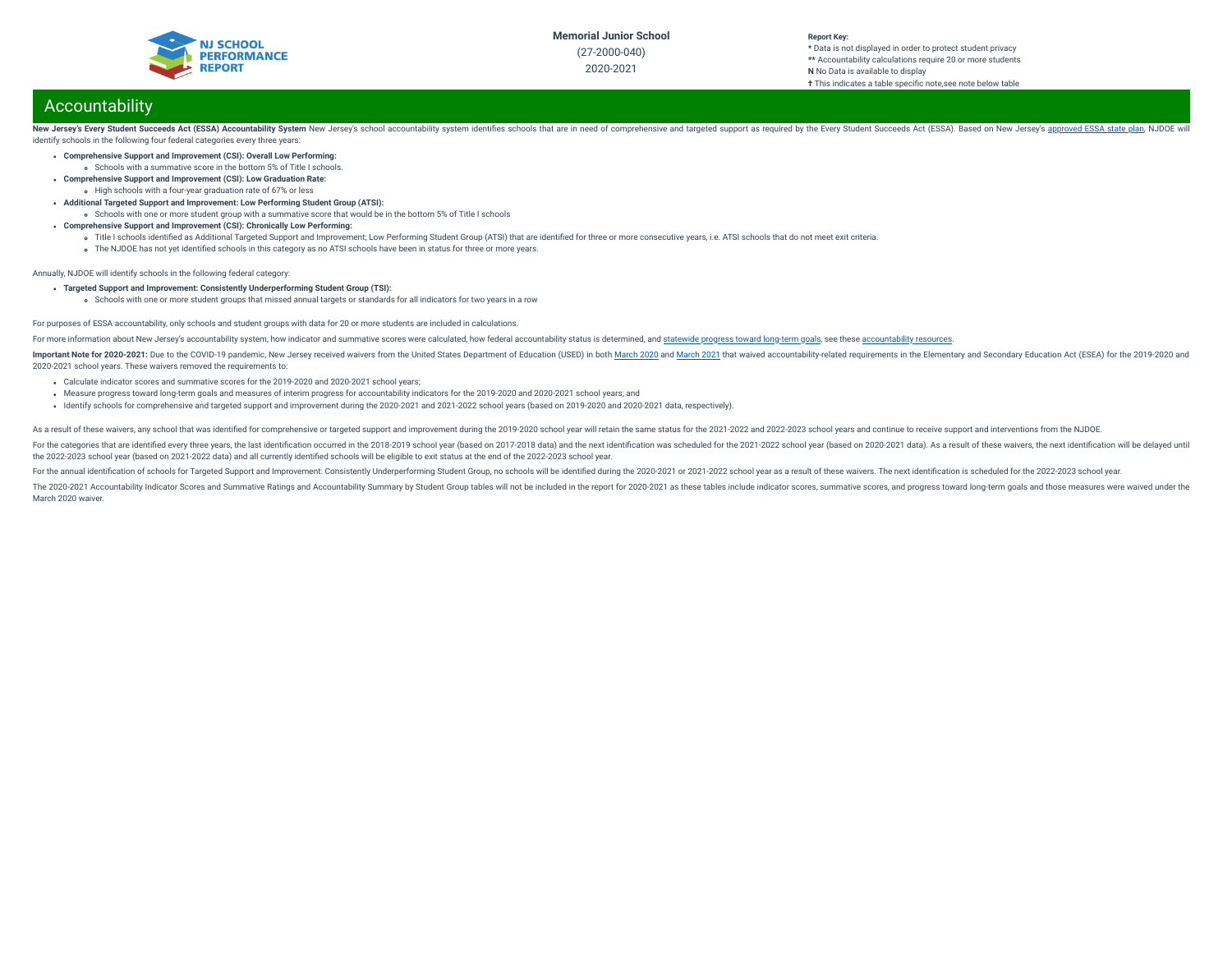

#### **Report Key: \*** Data is not displayed in order to protect student privacy **\*\*** Accountability calculations require 20 or more students **N** No Data is available to display

### **†** This indicates a table specific note, see note below table

# Accountability

New Jersey's Every Student Succeeds Act (ESSA) Accountability System New Jersey's school accountability system identifies schools that are in need of comprehensive and targeted support as required by the Every Student Succ identify schools in the following four federal categories every three years:

- **Comprehensive Support and Improvement (CSI): Overall Low Performing:**
	- Schools with a summative score in the bottom 5% of Title I schools.
- **Comprehensive Support and Improvement (CSI): Low Graduation Rate:** High schools with a four-year graduation rate of 67% or less
- **Additional Targeted Support and Improvement: Low Performing Student Group (ATSI):**
- Schools with one or more student group with a summative score that would be in the bottom 5% of Title I schools
- **Comprehensive Support and Improvement (CSI): Chronically Low Performing:**
	- o Title I schools identified as Additional Targeted Support and Improvement; Low Performing Student Group (ATSI) that are identified for three or more consecutive years, i.e. ATSI schools that do not meet exit criteria.
	- The NJDOE has not yet identified schools in this category as no ATSI schools have been in status for three or more years.

Annually, NJDOE will identify schools in the following federal category:

- **Targeted Support and Improvement: Consistently Underperforming Student Group (TSI):**
	- Schools with one or more student groups that missed annual targets or standards for all indicators for two years in a row

#### For purposes of ESSA accountability, only schools and student groups with data for 20 or more students are included in calculations.

For more information about New Jersey's accountability system, how indicator and summative scores were calculated, how federal accountability status is determined, and [statewide](https://www.state.nj.us/education/title1/accountability/progress/19/2018-19%20Statewide%20Progress%20toward%20Long-Term%20Goals.pdf) progress toward long-term goals, see these a

Important Note for 2020-2021: Due to the COVID-19 pandemic, New Jersey received waivers from the United States Department of Education (USED) in both [March](https://oese.ed.gov/files/2021/03/nj-acct-waiver-response-1.pdf) 2020 and March 2021 that waived accountability-related requirement 2020-2021 school years. These waivers removed the requirements to:

- Calculate indicator scores and summative scores for the 2019-2020 and 2020-2021 school years;
- Measure progress toward long-term goals and measures of interim progress for accountability indicators for the 2019-2020 and 2020-2021 school years; and
- Identify schools for comprehensive and targeted support and improvement during the 2020-2021 and 2021-2022 school years (based on 2019-2020 and 2020-2021 data, respectively).

As a result of these waivers, any school that was identified for comprehensive or targeted support and improvement during the 2019-2020 school year will retain the same status for the 2021-2022 and 2022-2023 school years a

For the categories that are identified every three vears, the last identification occurred in the 2018-2019 school year (based on 2017-2018 data) and the next identification was scheduled for the 2021-2022 school year (bas the 2022-2023 school year (based on 2021-2022 data) and all currently identied schools will be eligible to exit status at the end of the 2022-2023 school year.

For the annual identification of schools for Targeted Support and Improvement: Consistently Underperforming Student Group, no schools will be identified during the 2020-2021 or 2021-2022 school year as a result of these wa

The 2020-2021 Accountability Indicator Scores and Summative Ratings and Accountability Summary by Student Group tables will not be included in the report for 2020-2021 as these tables include indicator scores, summative sc March 2020 waiver.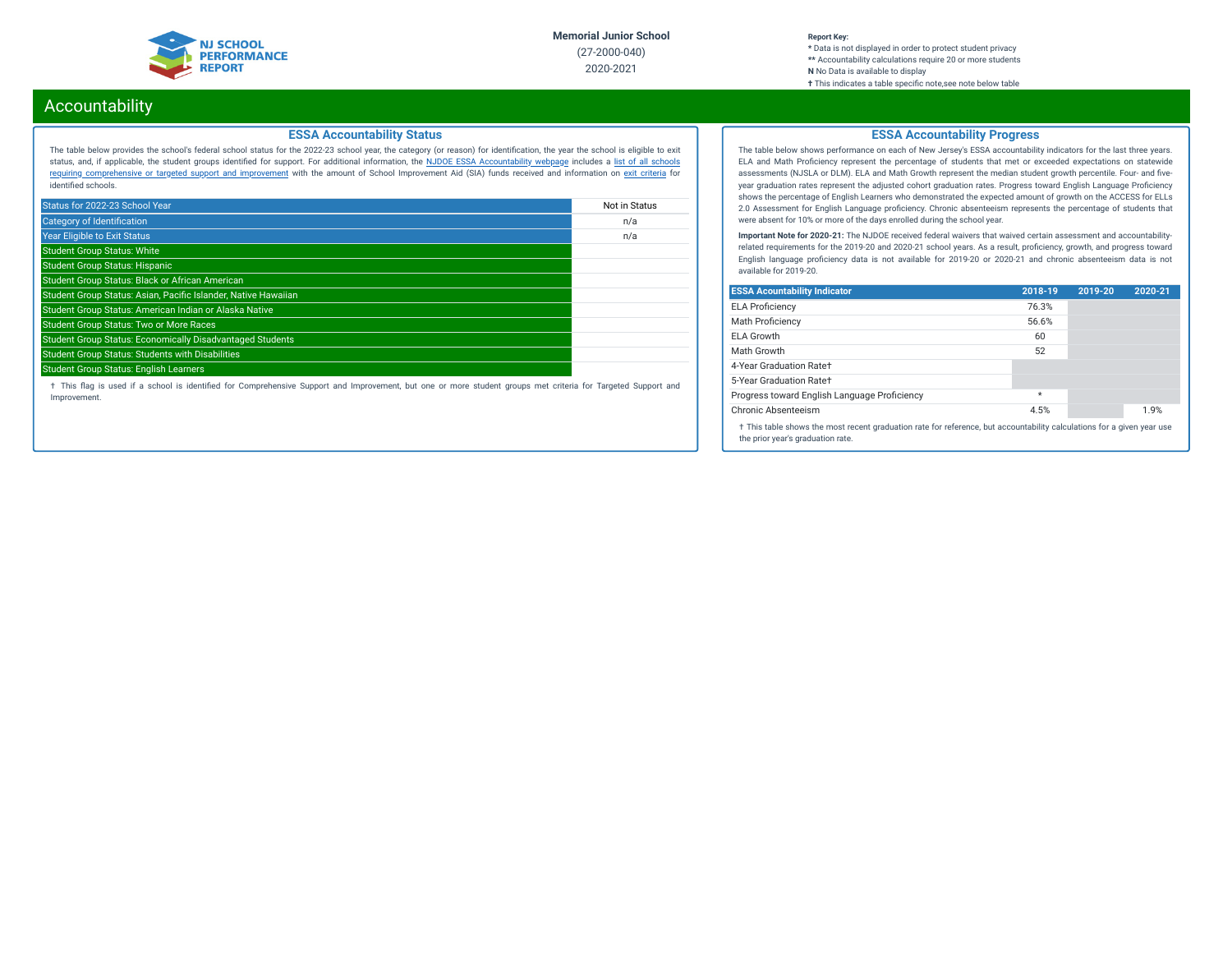

# Accountability

### **ESSA Accountability Status**

The table below provides the school's federal school status for the 2022-23 school year, the category (or reason) for identication, the year the school is eligible to exit status, and, if applicable, the student groups identied for support. For additional information, the NJDOE ESSA [Accountability](https://www.state.nj.us/education/title1/accountability/progress/20/) webpage includes a list of all schools requiring [comprehensive](https://www.state.nj.us/education/title1/accountability/progress/19/CAP%20Comprehensive_Targeted_Schools.xlsx) or targeted support and improvement with the amount of School Improvement Aid (SIA) funds received and information on exit [criteria](https://www.state.nj.us/education/title1/accountability/progress/20/ESSAExitCriteriaDocument.pdf) for identified schools.

| Status for 2022-23 School Year                                   | Not in Status |
|------------------------------------------------------------------|---------------|
| <b>Category of Identification</b>                                | n/a           |
| <b>Year Eligible to Exit Status</b>                              | n/a           |
| <b>Student Group Status: White</b>                               |               |
| <b>Student Group Status: Hispanic</b>                            |               |
| Student Group Status: Black or African American                  |               |
| Student Group Status: Asian, Pacific Islander, Native Hawaiian   |               |
| Student Group Status: American Indian or Alaska Native           |               |
| <b>Student Group Status: Two or More Races</b>                   |               |
| <b>Student Group Status: Economically Disadvantaged Students</b> |               |
| <b>Student Group Status: Students with Disabilities</b>          |               |
| <b>Student Group Status: English Learners</b>                    |               |

† This ag is used if a school is identied for Comprehensive Support and Improvement, but one or more student groups met criteria for Targeted Support and Improvement.

## **ESSA Accountability Progress**

The table below shows performance on each of New Jersey's ESSA accountability indicators for the last three years. ELA and Math Proficiency represent the percentage of students that met or exceeded expectations on statewide assessments (NJSLA or DLM). ELA and Math Growth represent the median student growth percentile. Four- and fiveyear graduation rates represent the adjusted cohort graduation rates. Progress toward English Language Proficiency shows the percentage of English Learners who demonstrated the expected amount of growth on the ACCESS for ELLs 2.0 Assessment for English Language proficiency. Chronic absenteeism represents the percentage of students that were absent for 10% or more of the days enrolled during the school year.

**Important Note for 2020-21:** The NJDOE received federal waivers that waived certain assessment and accountabilityrelated requirements for the 2019-20 and 2020-21 school years. As a result, proficiency, growth, and progress toward English language proficiency data is not available for 2019-20 or 2020-21 and chronic absenteeism data is not available for 2019-20.

| <b>ESSA Acountability Indicator</b>                                                                                                                         | 2018-19 | 2019-20 | 2020-21 |  |  |
|-------------------------------------------------------------------------------------------------------------------------------------------------------------|---------|---------|---------|--|--|
| <b>ELA Proficiency</b>                                                                                                                                      | 76.3%   |         |         |  |  |
| <b>Math Proficiency</b>                                                                                                                                     | 56.6%   |         |         |  |  |
| ELA Growth                                                                                                                                                  | 60      |         |         |  |  |
| Math Growth                                                                                                                                                 | 52      |         |         |  |  |
| 4-Year Graduation Rate+                                                                                                                                     |         |         |         |  |  |
| 5-Year Graduation Rate+                                                                                                                                     |         |         |         |  |  |
| Progress toward English Language Proficiency                                                                                                                | $\star$ |         |         |  |  |
| Chronic Absenteeism                                                                                                                                         | 4.5%    |         | 1.9%    |  |  |
| † This table shows the most recent graduation rate for reference, but accountability calculations for a given year use<br>the prior year's graduation rate. |         |         |         |  |  |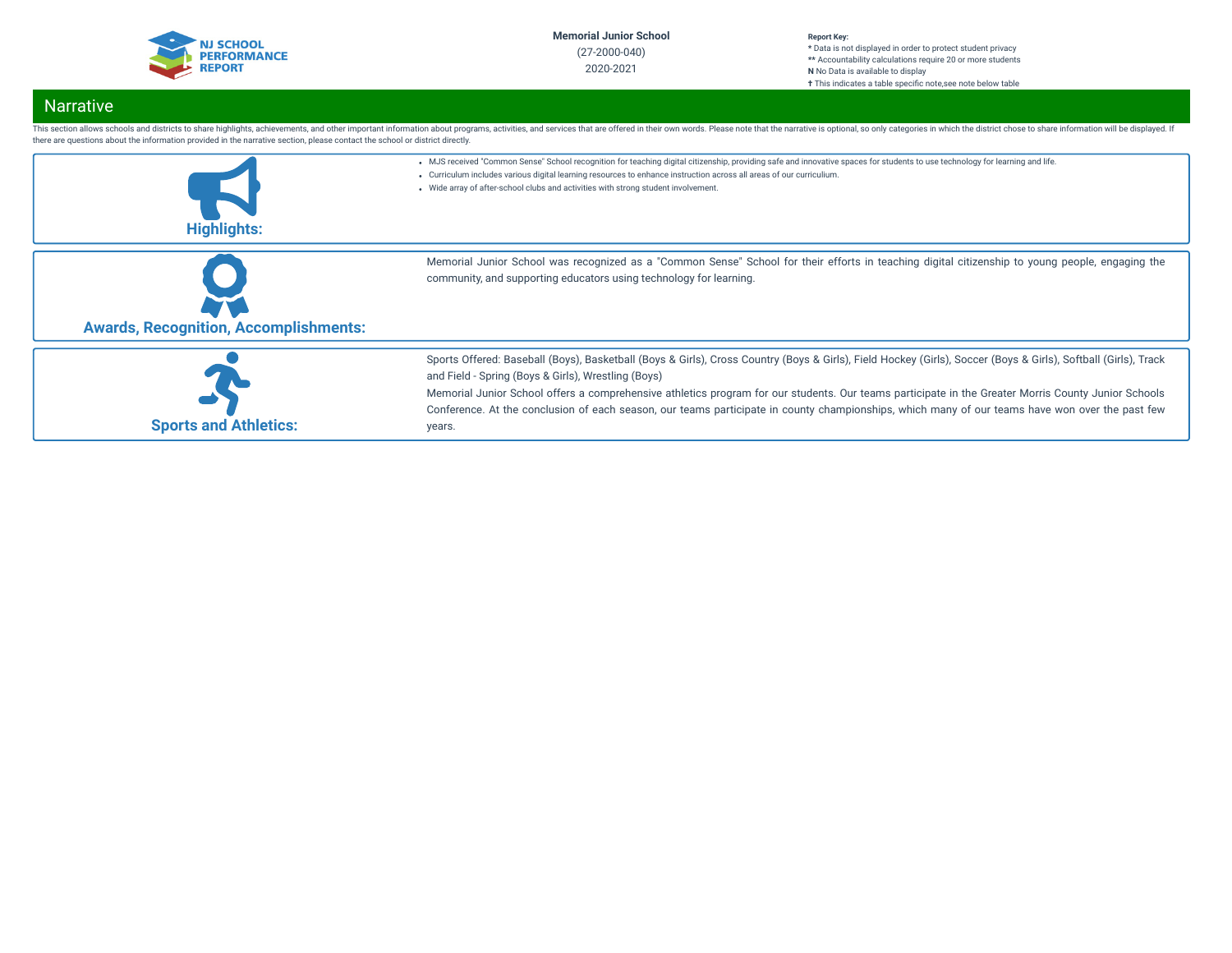

#### **Report Key: \*** Data is not displayed in order to protect student privacy **\*\*** Accountability calculations require 20 or more students **N** No Data is available to display **†** This indicates a table specific note, see note below table

# Narrative

| there are questions about the information provided in the narrative section, please contact the school or district directly. | This section allows schools and districts to share highlights, achievements, and other important information about programs, activities, and services that are offered in their own words. Please note that the narrative is o                                                                        |
|------------------------------------------------------------------------------------------------------------------------------|-------------------------------------------------------------------------------------------------------------------------------------------------------------------------------------------------------------------------------------------------------------------------------------------------------|
|                                                                                                                              | . MJS received "Common Sense" School recognition for teaching digital citizenship, providing safe and innovative spaces for students to use technology for learning and life.<br>. Curriculum includes various digital learning resources to enhance instruction across all areas of our curriculium. |
|                                                                                                                              | • Wide array of after-school clubs and activities with strong student involvement.                                                                                                                                                                                                                    |
| <b>Highlights:</b>                                                                                                           |                                                                                                                                                                                                                                                                                                       |
|                                                                                                                              |                                                                                                                                                                                                                                                                                                       |
|                                                                                                                              | Memorial Junior School was recognized as a "Common Sense" School for their efforts in teaching digital citizenship to young people, engaging the<br>community, and supporting educators using technology for learning.                                                                                |
| <b>Awards, Recognition, Accomplishments:</b>                                                                                 |                                                                                                                                                                                                                                                                                                       |
|                                                                                                                              | Sports Offered: Baseball (Boys), Basketball (Boys & Girls), Cross Country (Boys & Girls), Field Hockey (Girls), Soccer (Boys & Girls), Softball (Girls), Track                                                                                                                                        |
|                                                                                                                              | and Field - Spring (Boys & Girls), Wrestling (Boys)                                                                                                                                                                                                                                                   |

**Sports and Athletics:** years.

Memorial Junior School offers a comprehensive athletics program for our students. Our teams participate in the Greater Morris County Junior Schools Conference. At the conclusion of each season, our teams participate in county championships, which many of our teams have won over the past few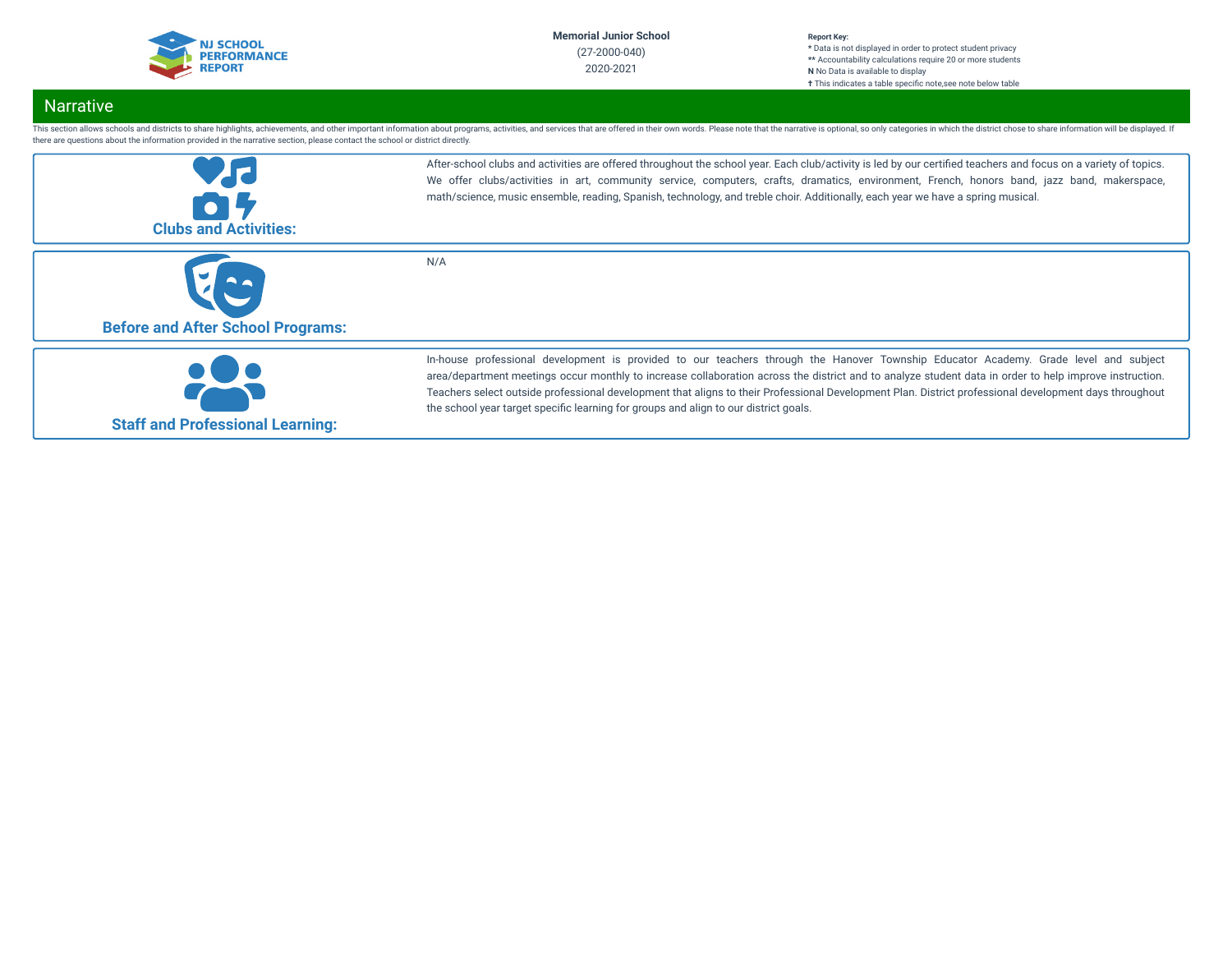

# Narrative

This section allows schools and districts to share highlights, achievements, and other important information about programs, activities, and services that are offered in their own words. Please note that the narrative is o there are questions about the information provided in the narrative section, please contact the school or district directly.

| <b>Clubs and Activities:</b>             | After-school clubs and activities are offered throughout the school year. Each club/activity is led by our certified teachers and focus on a variety of topics.<br>We offer clubs/activities in art, community service, computers, crafts, dramatics, environment, French, honors band, jazz band, makerspace,<br>math/science, music ensemble, reading, Spanish, technology, and treble choir. Additionally, each year we have a spring musical.                                                                                                |
|------------------------------------------|--------------------------------------------------------------------------------------------------------------------------------------------------------------------------------------------------------------------------------------------------------------------------------------------------------------------------------------------------------------------------------------------------------------------------------------------------------------------------------------------------------------------------------------------------|
| <b>Before and After School Programs:</b> | N/A                                                                                                                                                                                                                                                                                                                                                                                                                                                                                                                                              |
| <b>Staff and Professional Learning:</b>  | In-house professional development is provided to our teachers through the Hanover Township Educator Academy. Grade level and subject<br>area/department meetings occur monthly to increase collaboration across the district and to analyze student data in order to help improve instruction.<br>Teachers select outside professional development that aligns to their Professional Development Plan. District professional development days throughout<br>the school year target specific learning for groups and align to our district goals. |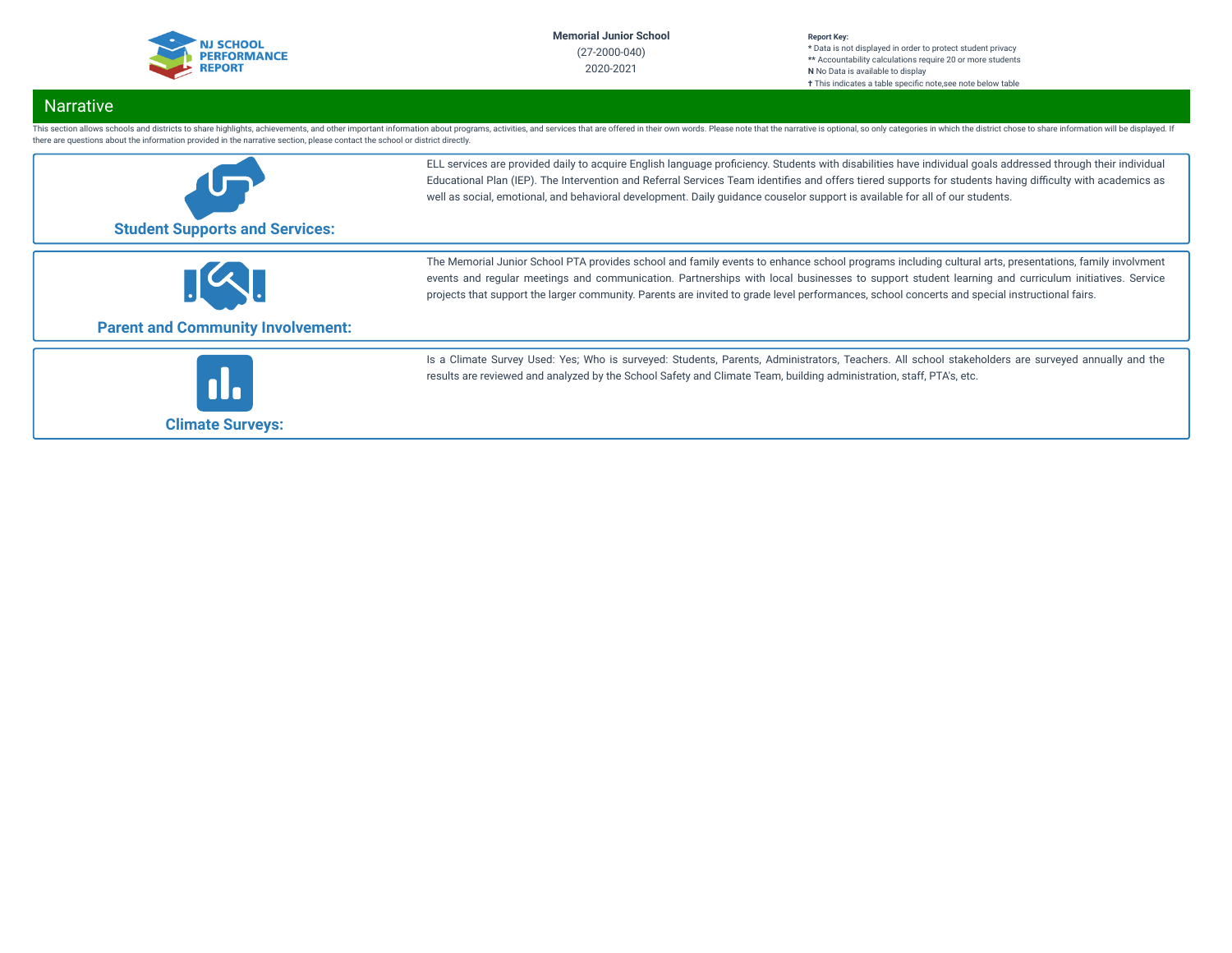

# **Narrative**

This section allows schools and districts to share highlights, achievements, and other important information about programs, activities, and services that are offered in their own words. Please note that the narrative is o there are questions about the information provided in the narrative section, please contact the school or district directly.